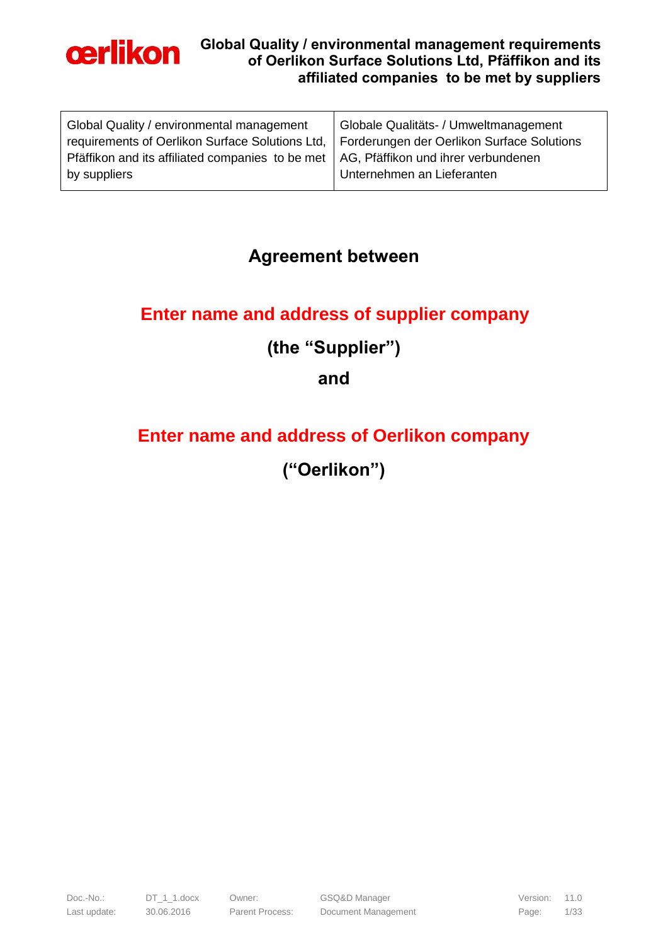

| Globale Qualitäts- / Umweltmanagement                                                  |
|----------------------------------------------------------------------------------------|
| Forderungen der Oerlikon Surface Solutions                                             |
| Pfäffikon and its affiliated companies to be met   AG, Pfäffikon und ihrer verbundenen |
| Unternehmen an Lieferanten                                                             |
|                                                                                        |

## **Agreement between**

# **Enter name and address of supplier company**

# **(the "Supplier")**

## **and**

# **Enter name and address of Oerlikon company**

# **("Oerlikon")**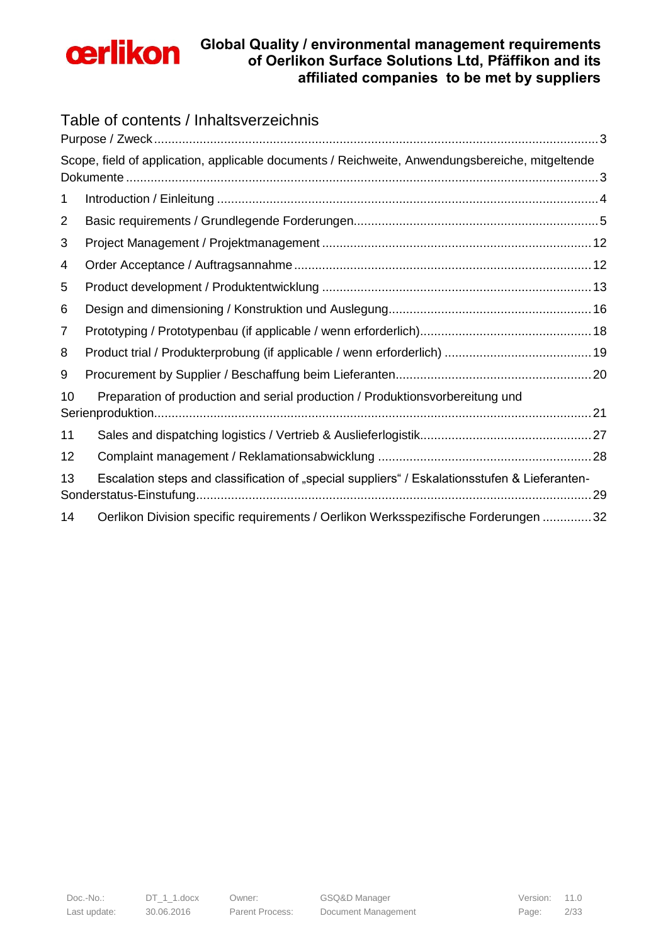

### Table of contents / Inhaltsverzeichnis

|    | Scope, field of application, applicable documents / Reichweite, Anwendungsbereiche, mitgeltende |    |
|----|-------------------------------------------------------------------------------------------------|----|
| 1  |                                                                                                 |    |
| 2  |                                                                                                 |    |
| 3  |                                                                                                 |    |
| 4  |                                                                                                 |    |
| 5  |                                                                                                 |    |
| 6  |                                                                                                 |    |
| 7  |                                                                                                 |    |
| 8  |                                                                                                 |    |
| 9  |                                                                                                 |    |
| 10 | Preparation of production and serial production / Produktionsvorbereitung und                   |    |
| 11 |                                                                                                 |    |
| 12 |                                                                                                 |    |
| 13 | Escalation steps and classification of "special suppliers" / Eskalationsstufen & Lieferanten-   | 29 |
| 14 | Oerlikon Division specific requirements / Oerlikon Werksspezifische Forderungen 32              |    |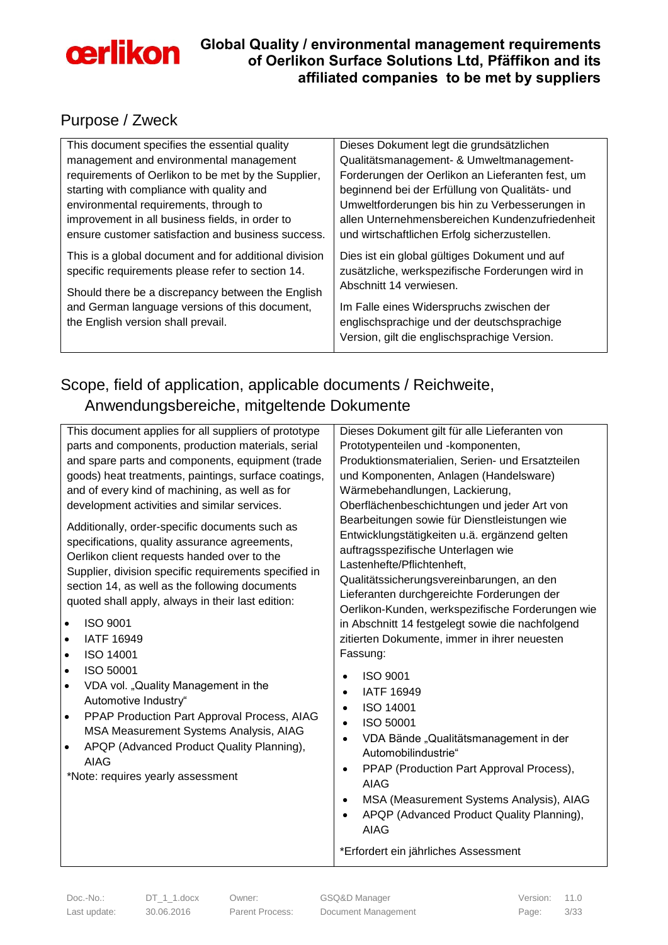

### <span id="page-2-0"></span>Purpose / Zweck

| This document specifies the essential quality                                                              | Dieses Dokument legt die grundsätzlichen                                                                                     |
|------------------------------------------------------------------------------------------------------------|------------------------------------------------------------------------------------------------------------------------------|
| management and environmental management                                                                    | Qualitätsmanagement- & Umweltmanagement-                                                                                     |
| requirements of Oerlikon to be met by the Supplier,                                                        | Forderungen der Oerlikon an Lieferanten fest, um                                                                             |
| starting with compliance with quality and                                                                  | beginnend bei der Erfüllung von Qualitäts- und                                                                               |
| environmental requirements, through to                                                                     | Umweltforderungen bis hin zu Verbesserungen in                                                                               |
| improvement in all business fields, in order to                                                            | allen Unternehmensbereichen Kundenzufriedenheit                                                                              |
| ensure customer satisfaction and business success.                                                         | und wirtschaftlichen Erfolg sicherzustellen.                                                                                 |
| This is a global document and for additional division<br>specific requirements please refer to section 14. | Dies ist ein global gültiges Dokument und auf<br>zusätzliche, werkspezifische Forderungen wird in<br>Abschnitt 14 verwiesen. |
| Should there be a discrepancy between the English                                                          |                                                                                                                              |
| and German language versions of this document,                                                             | Im Falle eines Widerspruchs zwischen der                                                                                     |
| the English version shall prevail.                                                                         | englischsprachige und der deutschsprachige                                                                                   |
|                                                                                                            | Version, gilt die englischsprachige Version.                                                                                 |

## <span id="page-2-1"></span>Scope, field of application, applicable documents / Reichweite, Anwendungsbereiche, mitgeltende Dokumente

| This document applies for all suppliers of prototype                                                                                                                                                                                                                                                                                                                                                              | Dieses Dokument gilt für alle Lieferanten von                                                                                                                                                                                                                                                                                                                                                                                    |
|-------------------------------------------------------------------------------------------------------------------------------------------------------------------------------------------------------------------------------------------------------------------------------------------------------------------------------------------------------------------------------------------------------------------|----------------------------------------------------------------------------------------------------------------------------------------------------------------------------------------------------------------------------------------------------------------------------------------------------------------------------------------------------------------------------------------------------------------------------------|
| parts and components, production materials, serial                                                                                                                                                                                                                                                                                                                                                                | Prototypenteilen und -komponenten,                                                                                                                                                                                                                                                                                                                                                                                               |
| and spare parts and components, equipment (trade                                                                                                                                                                                                                                                                                                                                                                  | Produktionsmaterialien, Serien- und Ersatzteilen                                                                                                                                                                                                                                                                                                                                                                                 |
| goods) heat treatments, paintings, surface coatings,                                                                                                                                                                                                                                                                                                                                                              | und Komponenten, Anlagen (Handelsware)                                                                                                                                                                                                                                                                                                                                                                                           |
| and of every kind of machining, as well as for                                                                                                                                                                                                                                                                                                                                                                    | Wärmebehandlungen, Lackierung,                                                                                                                                                                                                                                                                                                                                                                                                   |
| development activities and similar services.                                                                                                                                                                                                                                                                                                                                                                      | Oberflächenbeschichtungen und jeder Art von                                                                                                                                                                                                                                                                                                                                                                                      |
| Additionally, order-specific documents such as<br>specifications, quality assurance agreements,<br>Oerlikon client requests handed over to the<br>Supplier, division specific requirements specified in<br>section 14, as well as the following documents<br>quoted shall apply, always in their last edition:<br><b>ISO 9001</b><br>$\bullet$<br><b>IATF 16949</b><br>$\bullet$<br><b>ISO 14001</b><br>$\bullet$ | Bearbeitungen sowie für Dienstleistungen wie<br>Entwicklungstätigkeiten u.ä. ergänzend gelten<br>auftragsspezifische Unterlagen wie<br>Lastenhefte/Pflichtenheft,<br>Qualitätssicherungsvereinbarungen, an den<br>Lieferanten durchgereichte Forderungen der<br>Oerlikon-Kunden, werkspezifische Forderungen wie<br>in Abschnitt 14 festgelegt sowie die nachfolgend<br>zitierten Dokumente, immer in ihrer neuesten<br>Fassung: |
| ISO 50001<br>$\bullet$<br>VDA vol. "Quality Management in the<br>$\bullet$<br>Automotive Industry"<br>PPAP Production Part Approval Process, AIAG<br>$\bullet$<br>MSA Measurement Systems Analysis, AIAG<br>APQP (Advanced Product Quality Planning),<br>٠<br><b>AIAG</b><br>*Note: requires yearly assessment                                                                                                    | <b>ISO 9001</b><br><b>IATF 16949</b><br><b>ISO 14001</b><br>$\bullet$<br>ISO 50001<br>VDA Bände "Qualitätsmanagement in der<br>Automobilindustrie"<br>PPAP (Production Part Approval Process),<br>$\bullet$<br><b>AIAG</b><br>MSA (Measurement Systems Analysis), AIAG<br>٠<br>APQP (Advanced Product Quality Planning),<br><b>AIAG</b>                                                                                          |
|                                                                                                                                                                                                                                                                                                                                                                                                                   | *Erfordert ein jährliches Assessment                                                                                                                                                                                                                                                                                                                                                                                             |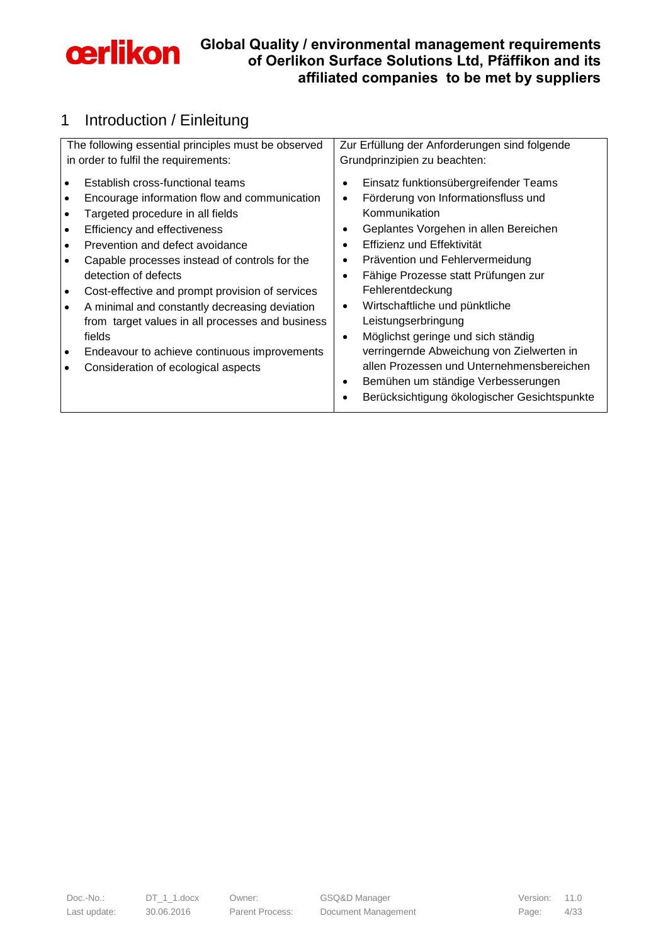

# <span id="page-3-0"></span>1 Introduction / Einleitung

| The following essential principles must be observed | Zur Erfüllung der Anforderungen sind folgende   |
|-----------------------------------------------------|-------------------------------------------------|
| in order to fulfil the requirements:                | Grundprinzipien zu beachten:                    |
| Establish cross-functional teams                    | Einsatz funktionsübergreifender Teams           |
| Encourage information flow and communication        | Förderung von Informationsfluss und             |
| Targeted procedure in all fields                    | Kommunikation                                   |
| Efficiency and effectiveness                        | Geplantes Vorgehen in allen Bereichen           |
| Prevention and defect avoidance                     | Effizienz und Effektivität                      |
| Capable processes instead of controls for the       | Prävention und Fehlervermeidung                 |
| detection of defects                                | Fähige Prozesse statt Prüfungen zur             |
| Cost-effective and prompt provision of services     | Fehlerentdeckung                                |
| A minimal and constantly decreasing deviation       | Wirtschaftliche und pünktliche<br>$\bullet$     |
| from target values in all processes and business    | Leistungserbringung                             |
| fields                                              | Möglichst geringe und sich ständig<br>$\bullet$ |
| Endeavour to achieve continuous improvements        | verringernde Abweichung von Zielwerten in       |
| Consideration of ecological aspects                 | allen Prozessen und Unternehmensbereichen       |
|                                                     | Bemühen um ständige Verbesserungen              |
|                                                     | Berücksichtigung ökologischer Gesichtspunkte    |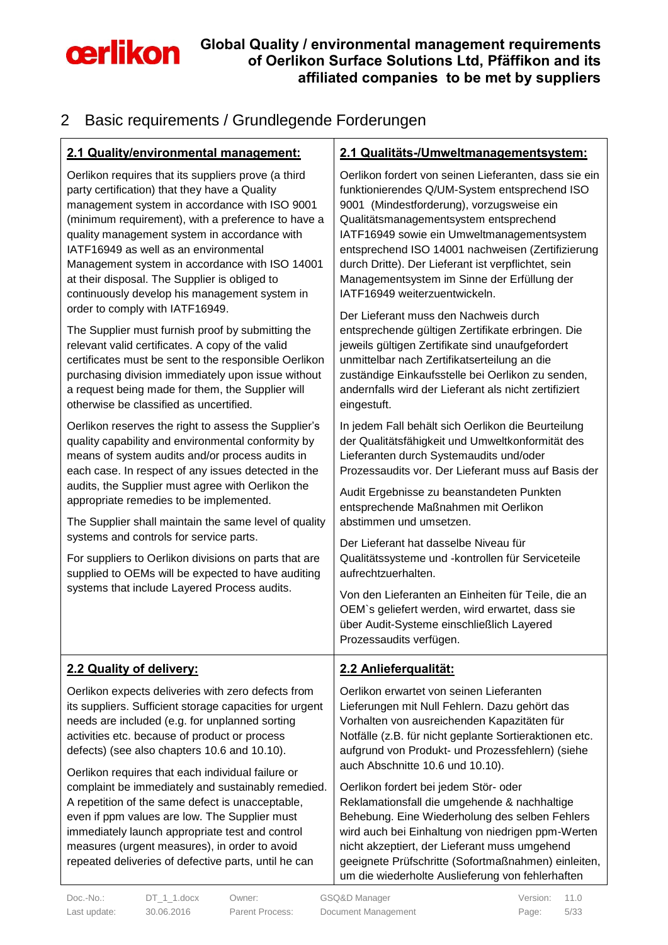

# <span id="page-4-0"></span>2 Basic requirements / Grundlegende Forderungen

| 2.1 Quality/environmental management:                                                                                                                                                                                                                                                                                                                                                                                                                                                       | 2.1 Qualitäts-/Umweltmanagementsystem:                                                                                                                                                                                                                                                                                                                                                                                                                                           |
|---------------------------------------------------------------------------------------------------------------------------------------------------------------------------------------------------------------------------------------------------------------------------------------------------------------------------------------------------------------------------------------------------------------------------------------------------------------------------------------------|----------------------------------------------------------------------------------------------------------------------------------------------------------------------------------------------------------------------------------------------------------------------------------------------------------------------------------------------------------------------------------------------------------------------------------------------------------------------------------|
| Oerlikon requires that its suppliers prove (a third<br>party certification) that they have a Quality<br>management system in accordance with ISO 9001<br>(minimum requirement), with a preference to have a<br>quality management system in accordance with<br>IATF16949 as well as an environmental<br>Management system in accordance with ISO 14001<br>at their disposal. The Supplier is obliged to<br>continuously develop his management system in<br>order to comply with IATF16949. | Oerlikon fordert von seinen Lieferanten, dass sie ein<br>funktionierendes Q/UM-System entsprechend ISO<br>9001 (Mindestforderung), vorzugsweise ein<br>Qualitätsmanagementsystem entsprechend<br>IATF16949 sowie ein Umweltmanagementsystem<br>entsprechend ISO 14001 nachweisen (Zertifizierung<br>durch Dritte). Der Lieferant ist verpflichtet, sein<br>Managementsystem im Sinne der Erfüllung der<br>IATF16949 weiterzuentwickeln.<br>Der Lieferant muss den Nachweis durch |
| The Supplier must furnish proof by submitting the<br>relevant valid certificates. A copy of the valid<br>certificates must be sent to the responsible Oerlikon<br>purchasing division immediately upon issue without<br>a request being made for them, the Supplier will<br>otherwise be classified as uncertified.                                                                                                                                                                         | entsprechende gültigen Zertifikate erbringen. Die<br>jeweils gültigen Zertifikate sind unaufgefordert<br>unmittelbar nach Zertifikatserteilung an die<br>zuständige Einkaufsstelle bei Oerlikon zu senden,<br>andernfalls wird der Lieferant als nicht zertifiziert<br>eingestuft.                                                                                                                                                                                               |
| Oerlikon reserves the right to assess the Supplier's<br>quality capability and environmental conformity by<br>means of system audits and/or process audits in<br>each case. In respect of any issues detected in the                                                                                                                                                                                                                                                                        | In jedem Fall behält sich Oerlikon die Beurteilung<br>der Qualitätsfähigkeit und Umweltkonformität des<br>Lieferanten durch Systemaudits und/oder<br>Prozessaudits vor. Der Lieferant muss auf Basis der                                                                                                                                                                                                                                                                         |
| audits, the Supplier must agree with Oerlikon the<br>appropriate remedies to be implemented.<br>The Supplier shall maintain the same level of quality                                                                                                                                                                                                                                                                                                                                       | Audit Ergebnisse zu beanstandeten Punkten<br>entsprechende Maßnahmen mit Oerlikon<br>abstimmen und umsetzen.                                                                                                                                                                                                                                                                                                                                                                     |
| systems and controls for service parts.                                                                                                                                                                                                                                                                                                                                                                                                                                                     | Der Lieferant hat dasselbe Niveau für                                                                                                                                                                                                                                                                                                                                                                                                                                            |
| For suppliers to Oerlikon divisions on parts that are<br>supplied to OEMs will be expected to have auditing<br>systems that include Layered Process audits.                                                                                                                                                                                                                                                                                                                                 | Qualitätssysteme und -kontrollen für Serviceteile<br>aufrechtzuerhalten.                                                                                                                                                                                                                                                                                                                                                                                                         |
|                                                                                                                                                                                                                                                                                                                                                                                                                                                                                             | Von den Lieferanten an Einheiten für Teile, die an<br>OEM's geliefert werden, wird erwartet, dass sie<br>über Audit-Systeme einschließlich Layered<br>Prozessaudits verfügen.                                                                                                                                                                                                                                                                                                    |
| 2.2 Quality of delivery:                                                                                                                                                                                                                                                                                                                                                                                                                                                                    | 2.2 Anlieferqualität:                                                                                                                                                                                                                                                                                                                                                                                                                                                            |
| Oerlikon expects deliveries with zero defects from<br>its suppliers. Sufficient storage capacities for urgent<br>needs are included (e.g. for unplanned sorting<br>activities etc. because of product or process<br>defects) (see also chapters 10.6 and 10.10).                                                                                                                                                                                                                            | Oerlikon erwartet von seinen Lieferanten<br>Lieferungen mit Null Fehlern. Dazu gehört das<br>Vorhalten von ausreichenden Kapazitäten für<br>Notfälle (z.B. für nicht geplante Sortieraktionen etc.<br>aufgrund von Produkt- und Prozessfehlern) (siehe<br>auch Abschnitte 10.6 und 10.10).                                                                                                                                                                                       |
| Oerlikon requires that each individual failure or<br>complaint be immediately and sustainably remedied.<br>A repetition of the same defect is unacceptable,<br>even if ppm values are low. The Supplier must<br>immediately launch appropriate test and control<br>measures (urgent measures), in order to avoid<br>repeated deliveries of defective parts, until he can                                                                                                                    | Oerlikon fordert bei jedem Stör- oder<br>Reklamationsfall die umgehende & nachhaltige<br>Behebung. Eine Wiederholung des selben Fehlers<br>wird auch bei Einhaltung von niedrigen ppm-Werten<br>nicht akzeptiert, der Lieferant muss umgehend<br>geeignete Prüfschritte (Sofortmaßnahmen) einleiten,<br>um die wiederholte Auslieferung von fehlerhaften                                                                                                                         |

Doc.-No.: DT\_1\_1.docx Owner: GSQ&D Manager Version: 11.0 Last update: 30.06.2016 Parent Process: Document Management Page: 5/33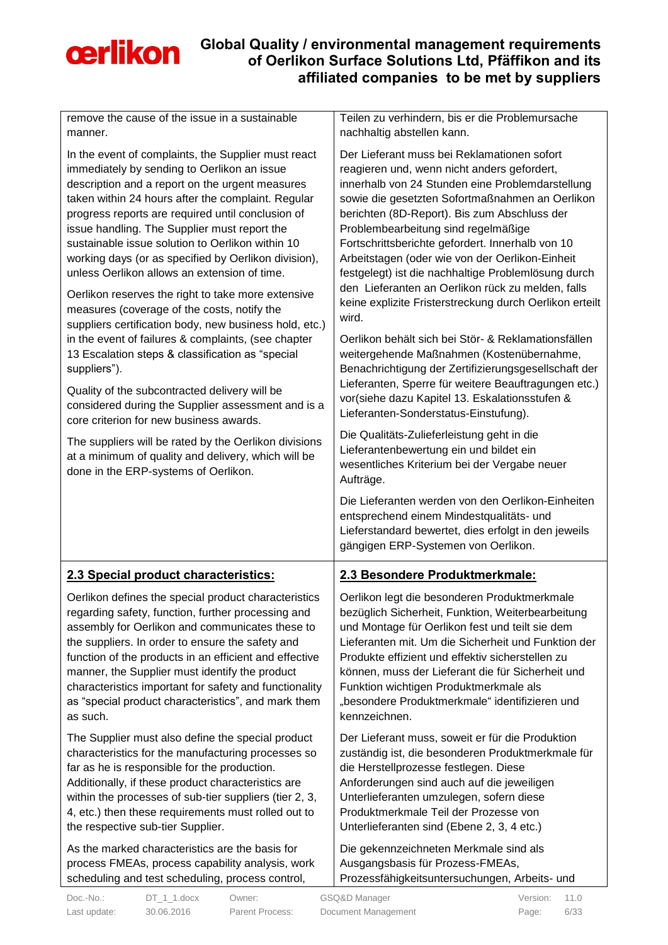

| remove the cause of the issue in a sustainable<br>manner.                                                                                                                                                                                                                                                                                                                                                                                                                                                                                                                                                                                                                                                                                                                                                                                                                                                                                                                                                                                                                        | Teilen zu verhindern, bis er die Problemursache<br>nachhaltig abstellen kann.                                                                                                                                                                                                                                                                                                                                                                                                                                                                                                                                                                                                                                                                                                                                                                                                                                                                                                                                                                        |
|----------------------------------------------------------------------------------------------------------------------------------------------------------------------------------------------------------------------------------------------------------------------------------------------------------------------------------------------------------------------------------------------------------------------------------------------------------------------------------------------------------------------------------------------------------------------------------------------------------------------------------------------------------------------------------------------------------------------------------------------------------------------------------------------------------------------------------------------------------------------------------------------------------------------------------------------------------------------------------------------------------------------------------------------------------------------------------|------------------------------------------------------------------------------------------------------------------------------------------------------------------------------------------------------------------------------------------------------------------------------------------------------------------------------------------------------------------------------------------------------------------------------------------------------------------------------------------------------------------------------------------------------------------------------------------------------------------------------------------------------------------------------------------------------------------------------------------------------------------------------------------------------------------------------------------------------------------------------------------------------------------------------------------------------------------------------------------------------------------------------------------------------|
| In the event of complaints, the Supplier must react<br>immediately by sending to Oerlikon an issue<br>description and a report on the urgent measures<br>taken within 24 hours after the complaint. Regular<br>progress reports are required until conclusion of<br>issue handling. The Supplier must report the<br>sustainable issue solution to Oerlikon within 10<br>working days (or as specified by Oerlikon division),<br>unless Oerlikon allows an extension of time.<br>Oerlikon reserves the right to take more extensive<br>measures (coverage of the costs, notify the<br>suppliers certification body, new business hold, etc.)<br>in the event of failures & complaints, (see chapter<br>13 Escalation steps & classification as "special<br>suppliers").<br>Quality of the subcontracted delivery will be<br>considered during the Supplier assessment and is a<br>core criterion for new business awards.<br>The suppliers will be rated by the Oerlikon divisions<br>at a minimum of quality and delivery, which will be<br>done in the ERP-systems of Oerlikon. | Der Lieferant muss bei Reklamationen sofort<br>reagieren und, wenn nicht anders gefordert,<br>innerhalb von 24 Stunden eine Problemdarstellung<br>sowie die gesetzten Sofortmaßnahmen an Oerlikon<br>berichten (8D-Report). Bis zum Abschluss der<br>Problembearbeitung sind regelmäßige<br>Fortschrittsberichte gefordert. Innerhalb von 10<br>Arbeitstagen (oder wie von der Oerlikon-Einheit<br>festgelegt) ist die nachhaltige Problemlösung durch<br>den Lieferanten an Oerlikon rück zu melden, falls<br>keine explizite Fristerstreckung durch Oerlikon erteilt<br>wird.<br>Oerlikon behält sich bei Stör- & Reklamationsfällen<br>weitergehende Maßnahmen (Kostenübernahme,<br>Benachrichtigung der Zertifizierungsgesellschaft der<br>Lieferanten, Sperre für weitere Beauftragungen etc.)<br>vor(siehe dazu Kapitel 13. Eskalationsstufen &<br>Lieferanten-Sonderstatus-Einstufung).<br>Die Qualitäts-Zulieferleistung geht in die<br>Lieferantenbewertung ein und bildet ein<br>wesentliches Kriterium bei der Vergabe neuer<br>Aufträge. |
|                                                                                                                                                                                                                                                                                                                                                                                                                                                                                                                                                                                                                                                                                                                                                                                                                                                                                                                                                                                                                                                                                  | Die Lieferanten werden von den Oerlikon-Einheiten<br>entsprechend einem Mindestqualitäts- und                                                                                                                                                                                                                                                                                                                                                                                                                                                                                                                                                                                                                                                                                                                                                                                                                                                                                                                                                        |
|                                                                                                                                                                                                                                                                                                                                                                                                                                                                                                                                                                                                                                                                                                                                                                                                                                                                                                                                                                                                                                                                                  | Lieferstandard bewertet, dies erfolgt in den jeweils<br>gängigen ERP-Systemen von Oerlikon.                                                                                                                                                                                                                                                                                                                                                                                                                                                                                                                                                                                                                                                                                                                                                                                                                                                                                                                                                          |
| 2.3 Special product characteristics:                                                                                                                                                                                                                                                                                                                                                                                                                                                                                                                                                                                                                                                                                                                                                                                                                                                                                                                                                                                                                                             | 2.3 Besondere Produktmerkmale:                                                                                                                                                                                                                                                                                                                                                                                                                                                                                                                                                                                                                                                                                                                                                                                                                                                                                                                                                                                                                       |
| Oerlikon defines the special product characteristics<br>regarding safety, function, further processing and<br>assembly for Oerlikon and communicates these to<br>the suppliers. In order to ensure the safety and<br>function of the products in an efficient and effective<br>manner, the Supplier must identify the product<br>characteristics important for safety and functionality<br>as "special product characteristics", and mark them<br>as such.                                                                                                                                                                                                                                                                                                                                                                                                                                                                                                                                                                                                                       | Oerlikon legt die besonderen Produktmerkmale<br>bezüglich Sicherheit, Funktion, Weiterbearbeitung<br>und Montage für Oerlikon fest und teilt sie dem<br>Lieferanten mit. Um die Sicherheit und Funktion der<br>Produkte effizient und effektiv sicherstellen zu<br>können, muss der Lieferant die für Sicherheit und<br>Funktion wichtigen Produktmerkmale als<br>"besondere Produktmerkmale" identifizieren und<br>kennzeichnen.                                                                                                                                                                                                                                                                                                                                                                                                                                                                                                                                                                                                                    |
| The Supplier must also define the special product<br>characteristics for the manufacturing processes so<br>far as he is responsible for the production.<br>Additionally, if these product characteristics are<br>within the processes of sub-tier suppliers (tier 2, 3,<br>4, etc.) then these requirements must rolled out to<br>the respective sub-tier Supplier.                                                                                                                                                                                                                                                                                                                                                                                                                                                                                                                                                                                                                                                                                                              | Der Lieferant muss, soweit er für die Produktion<br>zuständig ist, die besonderen Produktmerkmale für<br>die Herstellprozesse festlegen. Diese<br>Anforderungen sind auch auf die jeweiligen<br>Unterlieferanten umzulegen, sofern diese<br>Produktmerkmale Teil der Prozesse von<br>Unterlieferanten sind (Ebene 2, 3, 4 etc.)                                                                                                                                                                                                                                                                                                                                                                                                                                                                                                                                                                                                                                                                                                                      |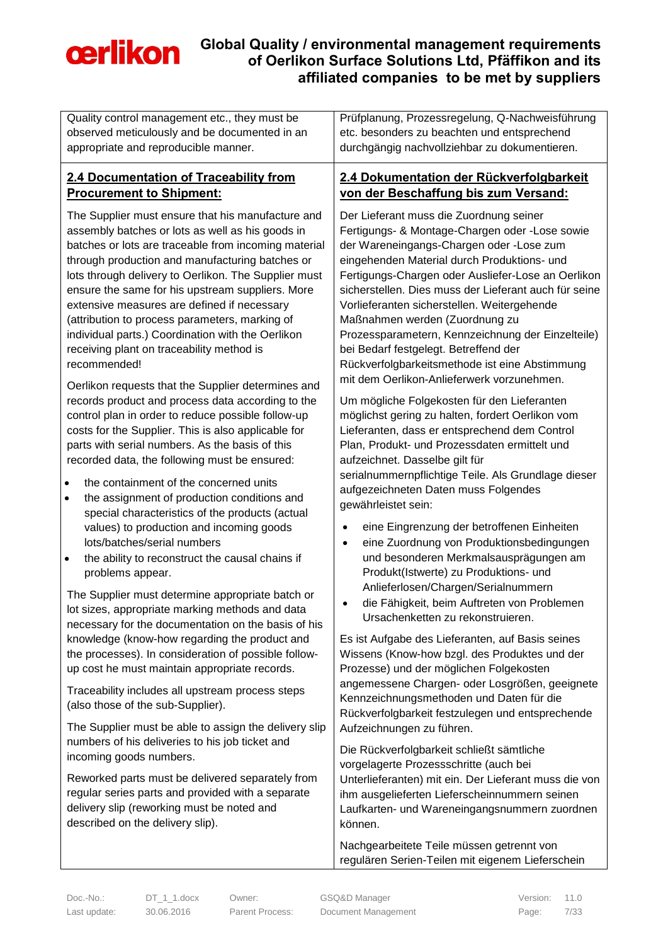

| Quality control management etc., they must be                                                                                                                                                                                                                                                                                                                                                                                                                                                                                                   | Prüfplanung, Prozessregelung, Q-Nachweisführung                                                                                                                                                                                                                                                                                                                                                                                                                                                                                      |
|-------------------------------------------------------------------------------------------------------------------------------------------------------------------------------------------------------------------------------------------------------------------------------------------------------------------------------------------------------------------------------------------------------------------------------------------------------------------------------------------------------------------------------------------------|--------------------------------------------------------------------------------------------------------------------------------------------------------------------------------------------------------------------------------------------------------------------------------------------------------------------------------------------------------------------------------------------------------------------------------------------------------------------------------------------------------------------------------------|
| observed meticulously and be documented in an                                                                                                                                                                                                                                                                                                                                                                                                                                                                                                   | etc. besonders zu beachten und entsprechend                                                                                                                                                                                                                                                                                                                                                                                                                                                                                          |
| appropriate and reproducible manner.                                                                                                                                                                                                                                                                                                                                                                                                                                                                                                            | durchgängig nachvollziehbar zu dokumentieren.                                                                                                                                                                                                                                                                                                                                                                                                                                                                                        |
| 2.4 Documentation of Traceability from                                                                                                                                                                                                                                                                                                                                                                                                                                                                                                          | 2.4 Dokumentation der Rückverfolgbarkeit                                                                                                                                                                                                                                                                                                                                                                                                                                                                                             |
| <b>Procurement to Shipment:</b>                                                                                                                                                                                                                                                                                                                                                                                                                                                                                                                 | von der Beschaffung bis zum Versand:                                                                                                                                                                                                                                                                                                                                                                                                                                                                                                 |
| The Supplier must ensure that his manufacture and<br>assembly batches or lots as well as his goods in<br>batches or lots are traceable from incoming material<br>through production and manufacturing batches or<br>lots through delivery to Oerlikon. The Supplier must<br>ensure the same for his upstream suppliers. More<br>extensive measures are defined if necessary<br>(attribution to process parameters, marking of<br>individual parts.) Coordination with the Oerlikon<br>receiving plant on traceability method is<br>recommended! | Der Lieferant muss die Zuordnung seiner<br>Fertigungs- & Montage-Chargen oder -Lose sowie<br>der Wareneingangs-Chargen oder -Lose zum<br>eingehenden Material durch Produktions- und<br>Fertigungs-Chargen oder Ausliefer-Lose an Oerlikon<br>sicherstellen. Dies muss der Lieferant auch für seine<br>Vorlieferanten sicherstellen. Weitergehende<br>Maßnahmen werden (Zuordnung zu<br>Prozessparametern, Kennzeichnung der Einzelteile)<br>bei Bedarf festgelegt. Betreffend der<br>Rückverfolgbarkeitsmethode ist eine Abstimmung |
| Oerlikon requests that the Supplier determines and<br>records product and process data according to the<br>control plan in order to reduce possible follow-up<br>costs for the Supplier. This is also applicable for<br>parts with serial numbers. As the basis of this<br>recorded data, the following must be ensured:<br>the containment of the concerned units<br>$\bullet$<br>the assignment of production conditions and<br>$\bullet$<br>special characteristics of the products (actual                                                  | mit dem Oerlikon-Anlieferwerk vorzunehmen.<br>Um mögliche Folgekosten für den Lieferanten<br>möglichst gering zu halten, fordert Oerlikon vom<br>Lieferanten, dass er entsprechend dem Control<br>Plan, Produkt- und Prozessdaten ermittelt und<br>aufzeichnet. Dasselbe gilt für<br>serialnummernpflichtige Teile. Als Grundlage dieser<br>aufgezeichneten Daten muss Folgendes<br>gewährleistet sein:                                                                                                                              |
| values) to production and incoming goods<br>lots/batches/serial numbers<br>the ability to reconstruct the causal chains if<br>$\bullet$<br>problems appear.<br>The Supplier must determine appropriate batch or<br>lot sizes, appropriate marking methods and data                                                                                                                                                                                                                                                                              | eine Eingrenzung der betroffenen Einheiten<br>$\bullet$<br>eine Zuordnung von Produktionsbedingungen<br>$\bullet$<br>und besonderen Merkmalsausprägungen am<br>Produkt(Istwerte) zu Produktions- und<br>Anlieferlosen/Chargen/Serialnummern<br>die Fähigkeit, beim Auftreten von Problemen<br>Ursachenketten zu rekonstruieren.                                                                                                                                                                                                      |
| necessary for the documentation on the basis of his<br>knowledge (know-how regarding the product and<br>the processes). In consideration of possible follow-<br>up cost he must maintain appropriate records.                                                                                                                                                                                                                                                                                                                                   | Es ist Aufgabe des Lieferanten, auf Basis seines<br>Wissens (Know-how bzgl. des Produktes und der<br>Prozesse) und der möglichen Folgekosten                                                                                                                                                                                                                                                                                                                                                                                         |
| Traceability includes all upstream process steps<br>(also those of the sub-Supplier).                                                                                                                                                                                                                                                                                                                                                                                                                                                           | angemessene Chargen- oder Losgrößen, geeignete<br>Kennzeichnungsmethoden und Daten für die<br>Rückverfolgbarkeit festzulegen und entsprechende                                                                                                                                                                                                                                                                                                                                                                                       |
| The Supplier must be able to assign the delivery slip<br>numbers of his deliveries to his job ticket and<br>incoming goods numbers.                                                                                                                                                                                                                                                                                                                                                                                                             | Aufzeichnungen zu führen.<br>Die Rückverfolgbarkeit schließt sämtliche<br>vorgelagerte Prozessschritte (auch bei                                                                                                                                                                                                                                                                                                                                                                                                                     |
| Reworked parts must be delivered separately from<br>regular series parts and provided with a separate<br>delivery slip (reworking must be noted and<br>described on the delivery slip).                                                                                                                                                                                                                                                                                                                                                         | Unterlieferanten) mit ein. Der Lieferant muss die von<br>ihm ausgelieferten Lieferscheinnummern seinen<br>Laufkarten- und Wareneingangsnummern zuordnen<br>können.                                                                                                                                                                                                                                                                                                                                                                   |
|                                                                                                                                                                                                                                                                                                                                                                                                                                                                                                                                                 | Nachgearbeitete Teile müssen getrennt von<br>regulären Serien-Teilen mit eigenem Lieferschein                                                                                                                                                                                                                                                                                                                                                                                                                                        |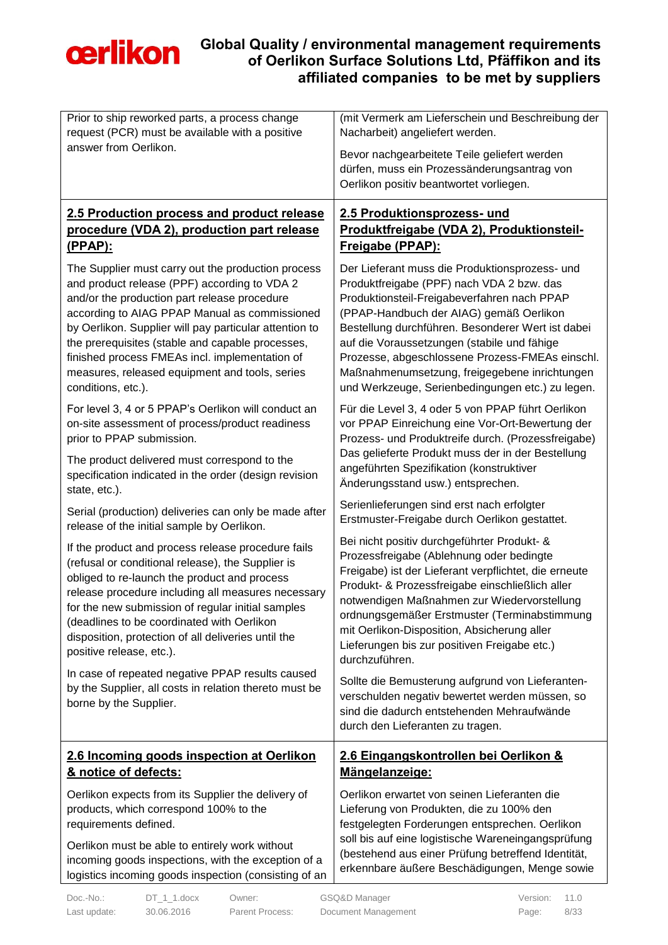

| Prior to ship reworked parts, a process change<br>request (PCR) must be available with a positive                                                                                                                                                                                                                                                                                                                                           | (mit Vermerk am Lieferschein und Beschreibung der<br>Nacharbeit) angeliefert werden.                                                                                                                                                                                                                                                                                                                                                              |
|---------------------------------------------------------------------------------------------------------------------------------------------------------------------------------------------------------------------------------------------------------------------------------------------------------------------------------------------------------------------------------------------------------------------------------------------|---------------------------------------------------------------------------------------------------------------------------------------------------------------------------------------------------------------------------------------------------------------------------------------------------------------------------------------------------------------------------------------------------------------------------------------------------|
| answer from Oerlikon.                                                                                                                                                                                                                                                                                                                                                                                                                       | Bevor nachgearbeitete Teile geliefert werden<br>dürfen, muss ein Prozessänderungsantrag von                                                                                                                                                                                                                                                                                                                                                       |
|                                                                                                                                                                                                                                                                                                                                                                                                                                             | Oerlikon positiv beantwortet vorliegen.                                                                                                                                                                                                                                                                                                                                                                                                           |
| 2.5 Production process and product release                                                                                                                                                                                                                                                                                                                                                                                                  | 2.5 Produktionsprozess- und                                                                                                                                                                                                                                                                                                                                                                                                                       |
| procedure (VDA 2), production part release<br><u>(PPAP):</u>                                                                                                                                                                                                                                                                                                                                                                                | Produktfreigabe (VDA 2), Produktionsteil-<br>Freigabe (PPAP):                                                                                                                                                                                                                                                                                                                                                                                     |
| The Supplier must carry out the production process<br>and product release (PPF) according to VDA 2<br>and/or the production part release procedure<br>according to AIAG PPAP Manual as commissioned<br>by Oerlikon. Supplier will pay particular attention to<br>the prerequisites (stable and capable processes,<br>finished process FMEAs incl. implementation of<br>measures, released equipment and tools, series<br>conditions, etc.). | Der Lieferant muss die Produktionsprozess- und<br>Produktfreigabe (PPF) nach VDA 2 bzw. das<br>Produktionsteil-Freigabeverfahren nach PPAP<br>(PPAP-Handbuch der AIAG) gemäß Oerlikon<br>Bestellung durchführen. Besonderer Wert ist dabei<br>auf die Voraussetzungen (stabile und fähige<br>Prozesse, abgeschlossene Prozess-FMEAs einschl.<br>Maßnahmenumsetzung, freigegebene inrichtungen<br>und Werkzeuge, Serienbedingungen etc.) zu legen. |
| For level 3, 4 or 5 PPAP's Oerlikon will conduct an<br>on-site assessment of process/product readiness<br>prior to PPAP submission.                                                                                                                                                                                                                                                                                                         | Für die Level 3, 4 oder 5 von PPAP führt Oerlikon<br>vor PPAP Einreichung eine Vor-Ort-Bewertung der<br>Prozess- und Produktreife durch. (Prozessfreigabe)<br>Das gelieferte Produkt muss der in der Bestellung                                                                                                                                                                                                                                   |
| The product delivered must correspond to the<br>specification indicated in the order (design revision<br>state, etc.).                                                                                                                                                                                                                                                                                                                      | angeführten Spezifikation (konstruktiver<br>Änderungsstand usw.) entsprechen.                                                                                                                                                                                                                                                                                                                                                                     |
| Serial (production) deliveries can only be made after<br>release of the initial sample by Oerlikon.                                                                                                                                                                                                                                                                                                                                         | Serienlieferungen sind erst nach erfolgter<br>Erstmuster-Freigabe durch Oerlikon gestattet.                                                                                                                                                                                                                                                                                                                                                       |
| If the product and process release procedure fails<br>(refusal or conditional release), the Supplier is<br>obliged to re-launch the product and process<br>release procedure including all measures necessary<br>for the new submission of regular initial samples<br>(deadlines to be coordinated with Oerlikon<br>disposition, protection of all deliveries until the<br>positive release, etc.).                                         | Bei nicht positiv durchgeführter Produkt- &<br>Prozessfreigabe (Ablehnung oder bedingte<br>Freigabe) ist der Lieferant verpflichtet, die erneute<br>Produkt- & Prozessfreigabe einschließlich aller<br>notwendigen Maßnahmen zur Wiedervorstellung<br>ordnungsgemäßer Erstmuster (Terminabstimmung<br>mit Oerlikon-Disposition, Absicherung aller<br>Lieferungen bis zur positiven Freigabe etc.)<br>durchzuführen.                               |
| In case of repeated negative PPAP results caused<br>by the Supplier, all costs in relation thereto must be<br>borne by the Supplier.                                                                                                                                                                                                                                                                                                        | Sollte die Bemusterung aufgrund von Lieferanten-<br>verschulden negativ bewertet werden müssen, so<br>sind die dadurch entstehenden Mehraufwände<br>durch den Lieferanten zu tragen.                                                                                                                                                                                                                                                              |
| 2.6 Incoming goods inspection at Oerlikon<br>& notice of defects:                                                                                                                                                                                                                                                                                                                                                                           | 2.6 Eingangskontrollen bei Oerlikon &<br>Mängelanzeige:                                                                                                                                                                                                                                                                                                                                                                                           |
| Oerlikon expects from its Supplier the delivery of<br>products, which correspond 100% to the<br>requirements defined.                                                                                                                                                                                                                                                                                                                       | Oerlikon erwartet von seinen Lieferanten die<br>Lieferung von Produkten, die zu 100% den<br>festgelegten Forderungen entsprechen. Oerlikon                                                                                                                                                                                                                                                                                                        |
| Oerlikon must be able to entirely work without<br>incoming goods inspections, with the exception of a<br>logistics incoming goods inspection (consisting of an                                                                                                                                                                                                                                                                              | soll bis auf eine logistische Wareneingangsprüfung<br>(bestehend aus einer Prüfung betreffend Identität,<br>erkennbare äußere Beschädigungen, Menge sowie                                                                                                                                                                                                                                                                                         |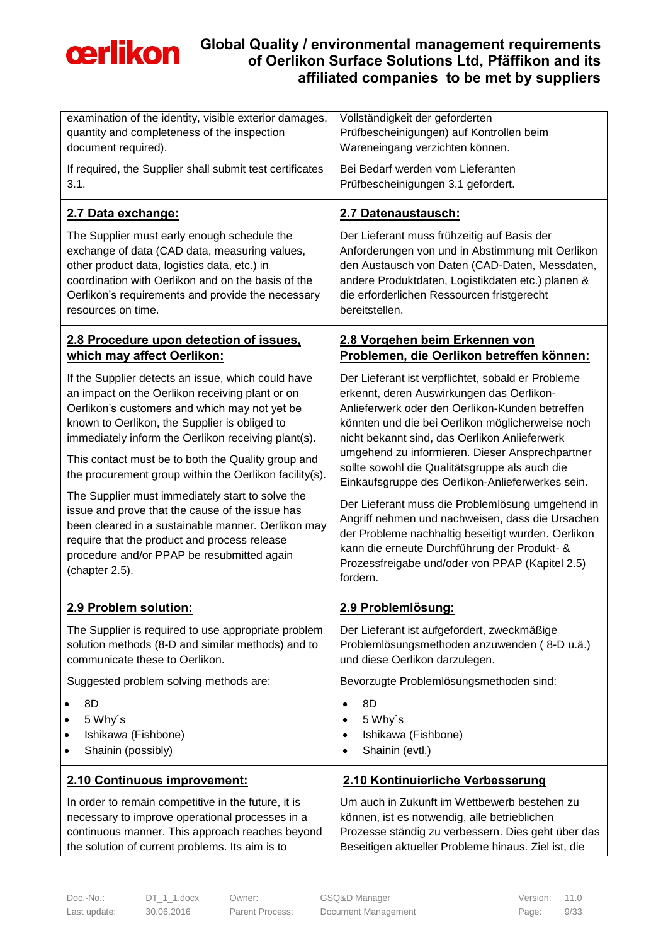

| examination of the identity, visible exterior damages,   | Vollständigkeit der geforderten                                                                    |
|----------------------------------------------------------|----------------------------------------------------------------------------------------------------|
| quantity and completeness of the inspection              | Prüfbescheinigungen) auf Kontrollen beim                                                           |
| document required).                                      | Wareneingang verzichten können.                                                                    |
| If required, the Supplier shall submit test certificates | Bei Bedarf werden vom Lieferanten                                                                  |
| 3.1.                                                     | Prüfbescheinigungen 3.1 gefordert.                                                                 |
| 2.7 Data exchange:                                       | 2.7 Datenaustausch:                                                                                |
| The Supplier must early enough schedule the              | Der Lieferant muss frühzeitig auf Basis der                                                        |
| exchange of data (CAD data, measuring values,            | Anforderungen von und in Abstimmung mit Oerlikon                                                   |
| other product data, logistics data, etc.) in             | den Austausch von Daten (CAD-Daten, Messdaten,                                                     |
| coordination with Oerlikon and on the basis of the       | andere Produktdaten, Logistikdaten etc.) planen &                                                  |
| Oerlikon's requirements and provide the necessary        | die erforderlichen Ressourcen fristgerecht                                                         |
| resources on time.                                       | bereitstellen.                                                                                     |
| 2.8 Procedure upon detection of issues,                  | 2.8 Vorgehen beim Erkennen von                                                                     |
| which may affect Oerlikon:                               | Problemen, die Oerlikon betreffen können:                                                          |
| If the Supplier detects an issue, which could have       | Der Lieferant ist verpflichtet, sobald er Probleme                                                 |
| an impact on the Oerlikon receiving plant or on          | erkennt, deren Auswirkungen das Oerlikon-                                                          |
| Oerlikon's customers and which may not yet be            | Anlieferwerk oder den Oerlikon-Kunden betreffen                                                    |
| known to Oerlikon, the Supplier is obliged to            | könnten und die bei Oerlikon möglicherweise noch                                                   |
| immediately inform the Oerlikon receiving plant(s).      | nicht bekannt sind, das Oerlikon Anlieferwerk                                                      |
| This contact must be to both the Quality group and       | umgehend zu informieren. Dieser Ansprechpartner                                                    |
| the procurement group within the Oerlikon facility(s).   | sollte sowohl die Qualitätsgruppe als auch die<br>Einkaufsgruppe des Oerlikon-Anlieferwerkes sein. |
| The Supplier must immediately start to solve the         | Der Lieferant muss die Problemlösung umgehend in                                                   |
| issue and prove that the cause of the issue has          | Angriff nehmen und nachweisen, dass die Ursachen                                                   |
| been cleared in a sustainable manner. Oerlikon may       | der Probleme nachhaltig beseitigt wurden. Oerlikon                                                 |
| require that the product and process release             | kann die erneute Durchführung der Produkt- &                                                       |
| procedure and/or PPAP be resubmitted again               | Prozessfreigabe und/oder von PPAP (Kapitel 2.5)                                                    |
| (chapter 2.5).                                           | fordern.                                                                                           |
| 2.9 Problem solution:                                    | 2.9 Problemlösung:                                                                                 |
| The Supplier is required to use appropriate problem      | Der Lieferant ist aufgefordert, zweckmäßige                                                        |
| solution methods (8-D and similar methods) and to        | Problemlösungsmethoden anzuwenden (8-D u.ä.)                                                       |
| communicate these to Oerlikon.                           | und diese Oerlikon darzulegen.                                                                     |
| Suggested problem solving methods are:                   | Bevorzugte Problemlösungsmethoden sind:                                                            |
| 8D                                                       | 8D                                                                                                 |
| 5 Why's                                                  | 5 Why's                                                                                            |
| Ishikawa (Fishbone)                                      | Ishikawa (Fishbone)                                                                                |
| Shainin (possibly)                                       | Shainin (evtl.)                                                                                    |
| 2.10 Continuous improvement:                             | 2.10 Kontinuierliche Verbesserung                                                                  |
| In order to remain competitive in the future, it is      | Um auch in Zukunft im Wettbewerb bestehen zu                                                       |
| necessary to improve operational processes in a          | können, ist es notwendig, alle betrieblichen                                                       |
| continuous manner. This approach reaches beyond          | Prozesse ständig zu verbessern. Dies geht über das                                                 |
| the solution of current problems. Its aim is to          | Beseitigen aktueller Probleme hinaus. Ziel ist, die                                                |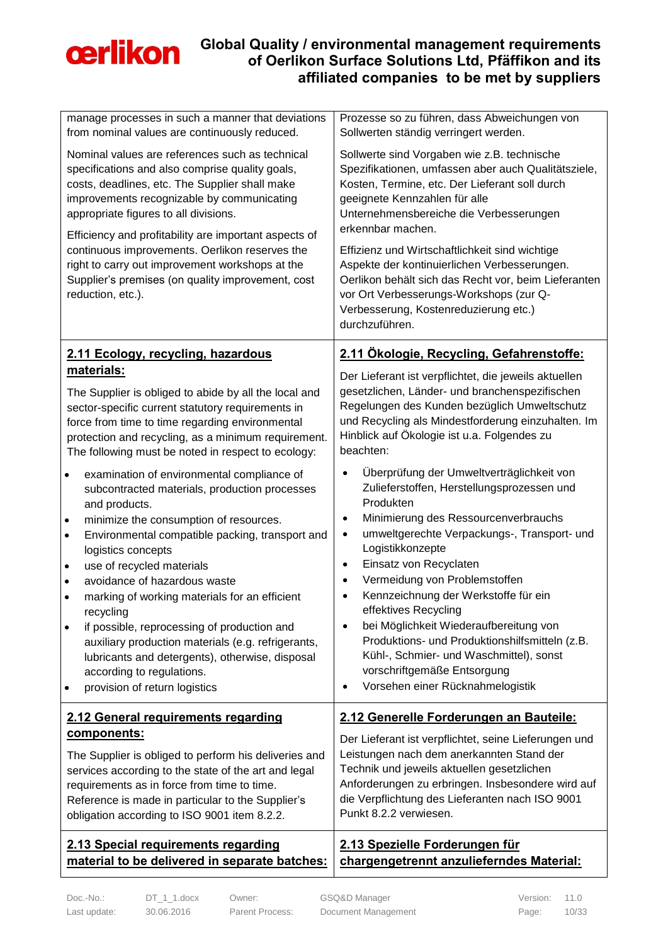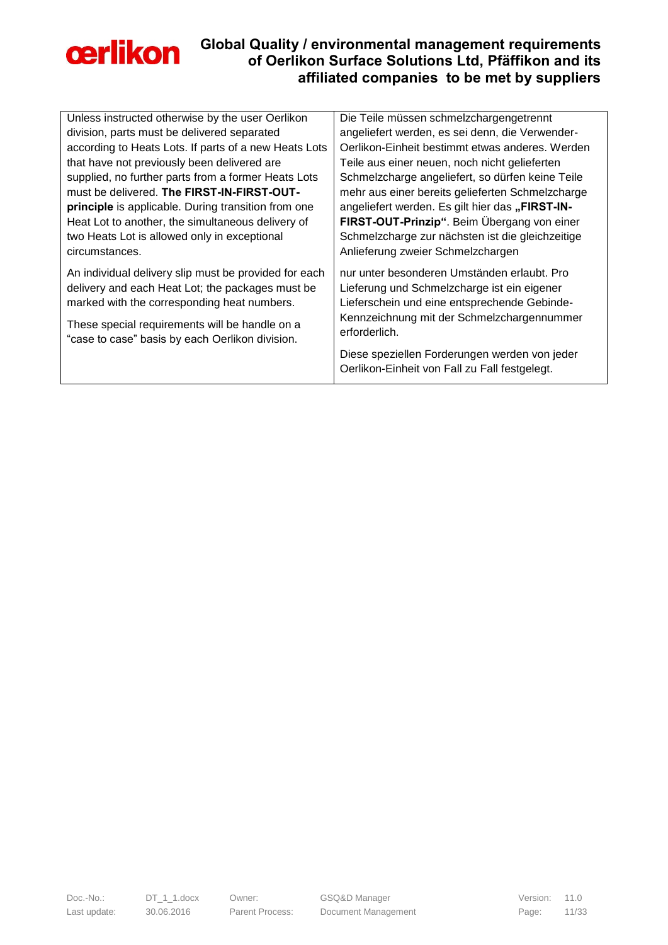

| Unless instructed otherwise by the user Oerlikon                                                                                                                                                           | Die Teile müssen schmelzchargengetrennt                                                                                                                                                  |
|------------------------------------------------------------------------------------------------------------------------------------------------------------------------------------------------------------|------------------------------------------------------------------------------------------------------------------------------------------------------------------------------------------|
| division, parts must be delivered separated                                                                                                                                                                | angeliefert werden, es sei denn, die Verwender-                                                                                                                                          |
| according to Heats Lots. If parts of a new Heats Lots                                                                                                                                                      | Oerlikon-Einheit bestimmt etwas anderes. Werden                                                                                                                                          |
| that have not previously been delivered are                                                                                                                                                                | Teile aus einer neuen, noch nicht gelieferten                                                                                                                                            |
| supplied, no further parts from a former Heats Lots                                                                                                                                                        | Schmelzcharge angeliefert, so dürfen keine Teile                                                                                                                                         |
| must be delivered. The FIRST-IN-FIRST-OUT-                                                                                                                                                                 | mehr aus einer bereits gelieferten Schmelzcharge                                                                                                                                         |
| principle is applicable. During transition from one                                                                                                                                                        | angeliefert werden. Es gilt hier das "FIRST-IN-                                                                                                                                          |
| Heat Lot to another, the simultaneous delivery of                                                                                                                                                          | FIRST-OUT-Prinzip". Beim Übergang von einer                                                                                                                                              |
| two Heats Lot is allowed only in exceptional                                                                                                                                                               | Schmelzcharge zur nächsten ist die gleichzeitige                                                                                                                                         |
| circumstances.                                                                                                                                                                                             | Anlieferung zweier Schmelzchargen                                                                                                                                                        |
| An individual delivery slip must be provided for each<br>delivery and each Heat Lot; the packages must be<br>marked with the corresponding heat numbers.<br>These special requirements will be handle on a | nur unter besonderen Umständen erlaubt. Pro<br>Lieferung und Schmelzcharge ist ein eigener<br>Lieferschein und eine entsprechende Gebinde-<br>Kennzeichnung mit der Schmelzchargennummer |
| "case to case" basis by each Oerlikon division.                                                                                                                                                            | erforderlich.                                                                                                                                                                            |
|                                                                                                                                                                                                            | Diese speziellen Forderungen werden von jeder<br>Oerlikon-Einheit von Fall zu Fall festgelegt.                                                                                           |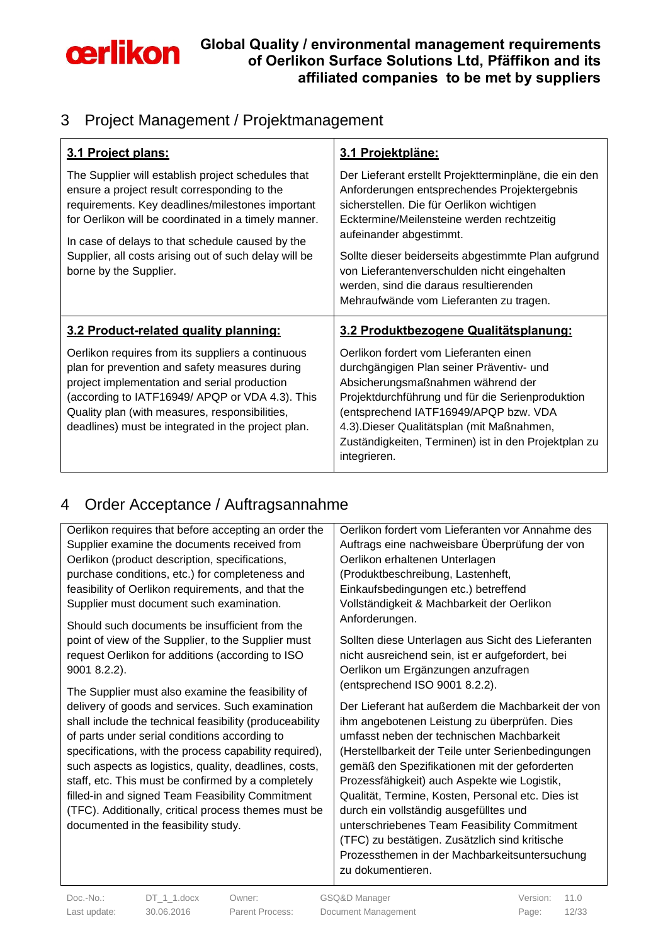

### <span id="page-11-0"></span>3 Project Management / Projektmanagement

| 3.1 Project plans:                                                                                                                                                                                                                                                                                                                                    | 3.1 Projektpläne:                                                                                                                                                                                                                                                                                                                                                                                                        |
|-------------------------------------------------------------------------------------------------------------------------------------------------------------------------------------------------------------------------------------------------------------------------------------------------------------------------------------------------------|--------------------------------------------------------------------------------------------------------------------------------------------------------------------------------------------------------------------------------------------------------------------------------------------------------------------------------------------------------------------------------------------------------------------------|
| The Supplier will establish project schedules that<br>ensure a project result corresponding to the<br>requirements. Key deadlines/milestones important<br>for Oerlikon will be coordinated in a timely manner.<br>In case of delays to that schedule caused by the<br>Supplier, all costs arising out of such delay will be<br>borne by the Supplier. | Der Lieferant erstellt Projektterminpläne, die ein den<br>Anforderungen entsprechendes Projektergebnis<br>sicherstellen. Die für Oerlikon wichtigen<br>Ecktermine/Meilensteine werden rechtzeitig<br>aufeinander abgestimmt.<br>Sollte dieser beiderseits abgestimmte Plan aufgrund<br>von Lieferantenverschulden nicht eingehalten<br>werden, sind die daraus resultierenden<br>Mehraufwände vom Lieferanten zu tragen. |
|                                                                                                                                                                                                                                                                                                                                                       |                                                                                                                                                                                                                                                                                                                                                                                                                          |
| 3.2 Product-related quality planning:                                                                                                                                                                                                                                                                                                                 | 3.2 Produktbezogene Qualitätsplanung:                                                                                                                                                                                                                                                                                                                                                                                    |

### <span id="page-11-1"></span>4 Order Acceptance / Auftragsannahme

| Oerlikon requires that before accepting an order the    | Oerlikon fordert vom Lieferanten vor Annahme des   |
|---------------------------------------------------------|----------------------------------------------------|
| Supplier examine the documents received from            | Auftrags eine nachweisbare Überprüfung der von     |
| Oerlikon (product description, specifications,          | Oerlikon erhaltenen Unterlagen                     |
| purchase conditions, etc.) for completeness and         | (Produktbeschreibung, Lastenheft,                  |
| feasibility of Oerlikon requirements, and that the      | Einkaufsbedingungen etc.) betreffend               |
| Supplier must document such examination.                | Vollständigkeit & Machbarkeit der Oerlikon         |
| Should such documents be insufficient from the          | Anforderungen.                                     |
| point of view of the Supplier, to the Supplier must     | Sollten diese Unterlagen aus Sicht des Lieferanten |
| request Oerlikon for additions (according to ISO        | nicht ausreichend sein, ist er aufgefordert, bei   |
| $90018.2.2$ ).                                          | Oerlikon um Ergänzungen anzufragen                 |
| The Supplier must also examine the feasibility of       | (entsprechend ISO 9001 8.2.2).                     |
| delivery of goods and services. Such examination        | Der Lieferant hat außerdem die Machbarkeit der von |
| shall include the technical feasibility (produceability | ihm angebotenen Leistung zu überprüfen. Dies       |
| of parts under serial conditions according to           | umfasst neben der technischen Machbarkeit          |
| specifications, with the process capability required),  | (Herstellbarkeit der Teile unter Serienbedingungen |
| such aspects as logistics, quality, deadlines, costs,   | gemäß den Spezifikationen mit der geforderten      |
| staff, etc. This must be confirmed by a completely      | Prozessfähigkeit) auch Aspekte wie Logistik,       |
| filled-in and signed Team Feasibility Commitment        | Qualität, Termine, Kosten, Personal etc. Dies ist  |
| (TFC). Additionally, critical process themes must be    | durch ein vollständig ausgefülltes und             |
| documented in the feasibility study.                    | unterschriebenes Team Feasibility Commitment       |
|                                                         | (TFC) zu bestätigen. Zusätzlich sind kritische     |
|                                                         | Prozessthemen in der Machbarkeitsuntersuchung      |
|                                                         | zu dokumentieren.                                  |
|                                                         |                                                    |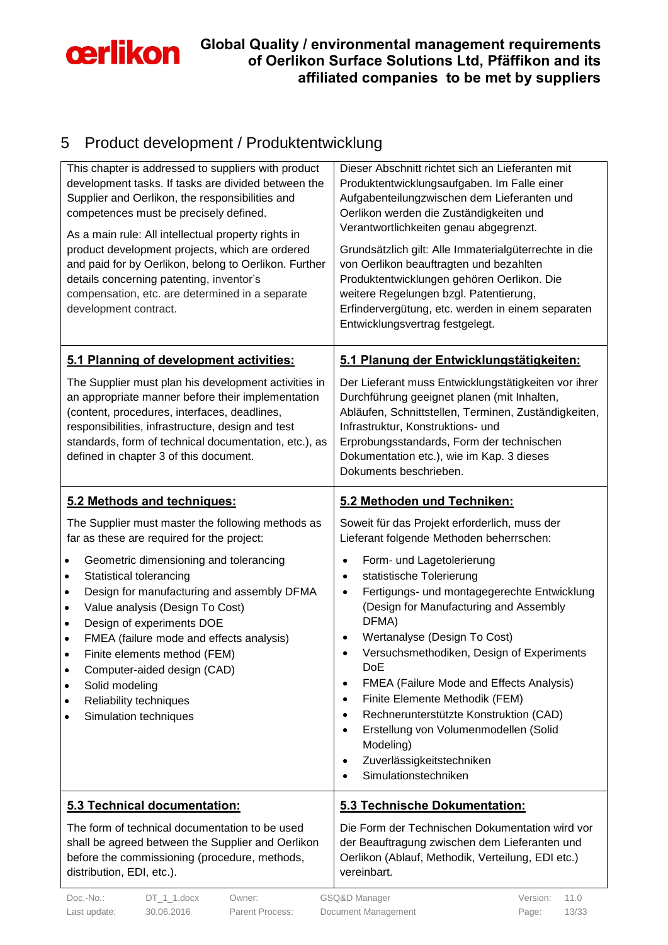

## <span id="page-12-0"></span>5 Product development / Produktentwicklung

| This chapter is addressed to suppliers with product<br>development tasks. If tasks are divided between the<br>Supplier and Oerlikon, the responsibilities and<br>competences must be precisely defined.<br>As a main rule: All intellectual property rights in<br>product development projects, which are ordered<br>and paid for by Oerlikon, belong to Oerlikon. Further<br>details concerning patenting, inventor's<br>compensation, etc. are determined in a separate<br>development contract.                                                                                                                                       | Dieser Abschnitt richtet sich an Lieferanten mit<br>Produktentwicklungsaufgaben. Im Falle einer<br>Aufgabenteilungzwischen dem Lieferanten und<br>Oerlikon werden die Zuständigkeiten und<br>Verantwortlichkeiten genau abgegrenzt.<br>Grundsätzlich gilt: Alle Immaterialgüterrechte in die<br>von Oerlikon beauftragten und bezahlten<br>Produktentwicklungen gehören Oerlikon. Die<br>weitere Regelungen bzgl. Patentierung,<br>Erfindervergütung, etc. werden in einem separaten<br>Entwicklungsvertrag festgelegt.                                                                                                                                                                                                                                         |
|------------------------------------------------------------------------------------------------------------------------------------------------------------------------------------------------------------------------------------------------------------------------------------------------------------------------------------------------------------------------------------------------------------------------------------------------------------------------------------------------------------------------------------------------------------------------------------------------------------------------------------------|-----------------------------------------------------------------------------------------------------------------------------------------------------------------------------------------------------------------------------------------------------------------------------------------------------------------------------------------------------------------------------------------------------------------------------------------------------------------------------------------------------------------------------------------------------------------------------------------------------------------------------------------------------------------------------------------------------------------------------------------------------------------|
| 5.1 Planning of development activities:<br>The Supplier must plan his development activities in<br>an appropriate manner before their implementation<br>(content, procedures, interfaces, deadlines,<br>responsibilities, infrastructure, design and test<br>standards, form of technical documentation, etc.), as<br>defined in chapter 3 of this document.                                                                                                                                                                                                                                                                             | 5.1 Planung der Entwicklungstätigkeiten:<br>Der Lieferant muss Entwicklungstätigkeiten vor ihrer<br>Durchführung geeignet planen (mit Inhalten,<br>Abläufen, Schnittstellen, Terminen, Zuständigkeiten,<br>Infrastruktur, Konstruktions- und<br>Erprobungsstandards, Form der technischen<br>Dokumentation etc.), wie im Kap. 3 dieses<br>Dokuments beschrieben.                                                                                                                                                                                                                                                                                                                                                                                                |
| 5.2 Methods and techniques:<br>The Supplier must master the following methods as<br>far as these are required for the project:<br>Geometric dimensioning and tolerancing<br>$\bullet$<br>Statistical tolerancing<br>$\bullet$<br>Design for manufacturing and assembly DFMA<br>$\bullet$<br>Value analysis (Design To Cost)<br>$\bullet$<br>Design of experiments DOE<br>$\bullet$<br>FMEA (failure mode and effects analysis)<br>$\bullet$<br>Finite elements method (FEM)<br>$\bullet$<br>Computer-aided design (CAD)<br>$\bullet$<br>Solid modeling<br>$\bullet$<br>Reliability techniques<br>$\bullet$<br>Simulation techniques<br>٠ | 5.2 Methoden und Techniken:<br>Soweit für das Projekt erforderlich, muss der<br>Lieferant folgende Methoden beherrschen:<br>Form- und Lagetolerierung<br>٠<br>statistische Tolerierung<br>$\bullet$<br>Fertigungs- und montagegerechte Entwicklung<br>$\bullet$<br>(Design for Manufacturing and Assembly<br>DFMA)<br>Wertanalyse (Design To Cost)<br>$\bullet$<br>Versuchsmethodiken, Design of Experiments<br>$\bullet$<br><b>DoE</b><br><b>FMEA (Failure Mode and Effects Analysis)</b><br>$\bullet$<br>Finite Elemente Methodik (FEM)<br>$\bullet$<br>Rechnerunterstützte Konstruktion (CAD)<br>$\bullet$<br>Erstellung von Volumenmodellen (Solid<br>$\bullet$<br>Modeling)<br>Zuverlässigkeitstechniken<br>$\bullet$<br>Simulationstechniken<br>$\bullet$ |
| 5.3 Technical documentation:<br>The form of technical documentation to be used<br>shall be agreed between the Supplier and Oerlikon<br>before the commissioning (procedure, methods,<br>distribution, EDI, etc.).<br>Doc.-No.:<br>$DT_1_1$ .docx<br>Owner:                                                                                                                                                                                                                                                                                                                                                                               | 5.3 Technische Dokumentation:<br>Die Form der Technischen Dokumentation wird vor<br>der Beauftragung zwischen dem Lieferanten und<br>Oerlikon (Ablauf, Methodik, Verteilung, EDI etc.)<br>vereinbart.<br>GSQ&D Manager<br>Version: 11.0                                                                                                                                                                                                                                                                                                                                                                                                                                                                                                                         |

Last update: 30.06.2016 Parent Process: Document Management Page: 13/33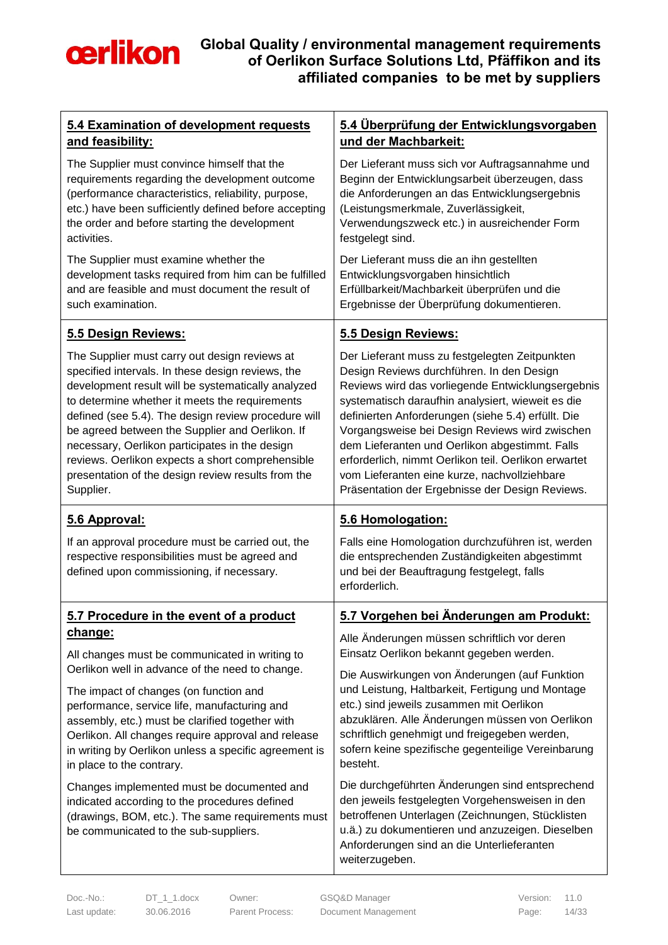

| 5.4 Examination of development requests                                                                                                          | 5.4 Überprüfung der Entwicklungsvorgaben                                                                                                                          |
|--------------------------------------------------------------------------------------------------------------------------------------------------|-------------------------------------------------------------------------------------------------------------------------------------------------------------------|
| and feasibility:                                                                                                                                 | und der Machbarkeit:                                                                                                                                              |
| The Supplier must convince himself that the                                                                                                      | Der Lieferant muss sich vor Auftragsannahme und                                                                                                                   |
| requirements regarding the development outcome                                                                                                   | Beginn der Entwicklungsarbeit überzeugen, dass                                                                                                                    |
| (performance characteristics, reliability, purpose,                                                                                              | die Anforderungen an das Entwicklungsergebnis                                                                                                                     |
| etc.) have been sufficiently defined before accepting                                                                                            | (Leistungsmerkmale, Zuverlässigkeit,                                                                                                                              |
| the order and before starting the development                                                                                                    | Verwendungszweck etc.) in ausreichender Form                                                                                                                      |
| activities.                                                                                                                                      | festgelegt sind.                                                                                                                                                  |
| The Supplier must examine whether the                                                                                                            | Der Lieferant muss die an ihn gestellten                                                                                                                          |
| development tasks required from him can be fulfilled                                                                                             | Entwicklungsvorgaben hinsichtlich                                                                                                                                 |
| and are feasible and must document the result of                                                                                                 | Erfüllbarkeit/Machbarkeit überprüfen und die                                                                                                                      |
| such examination.                                                                                                                                | Ergebnisse der Überprüfung dokumentieren.                                                                                                                         |
| 5.5 Design Reviews:                                                                                                                              | 5.5 Design Reviews:                                                                                                                                               |
| The Supplier must carry out design reviews at                                                                                                    | Der Lieferant muss zu festgelegten Zeitpunkten                                                                                                                    |
| specified intervals. In these design reviews, the                                                                                                | Design Reviews durchführen. In den Design                                                                                                                         |
| development result will be systematically analyzed                                                                                               | Reviews wird das vorliegende Entwicklungsergebnis                                                                                                                 |
| to determine whether it meets the requirements                                                                                                   | systematisch daraufhin analysiert, wieweit es die                                                                                                                 |
| defined (see 5.4). The design review procedure will                                                                                              | definierten Anforderungen (siehe 5.4) erfüllt. Die                                                                                                                |
| be agreed between the Supplier and Oerlikon. If                                                                                                  | Vorgangsweise bei Design Reviews wird zwischen                                                                                                                    |
| necessary, Oerlikon participates in the design                                                                                                   | dem Lieferanten und Oerlikon abgestimmt. Falls                                                                                                                    |
| reviews. Oerlikon expects a short comprehensible                                                                                                 | erforderlich, nimmt Oerlikon teil. Oerlikon erwartet                                                                                                              |
| presentation of the design review results from the                                                                                               | vom Lieferanten eine kurze, nachvollziehbare                                                                                                                      |
| Supplier.                                                                                                                                        | Präsentation der Ergebnisse der Design Reviews.                                                                                                                   |
|                                                                                                                                                  |                                                                                                                                                                   |
| 5.6 Approval:                                                                                                                                    | 5.6 Homologation:                                                                                                                                                 |
| If an approval procedure must be carried out, the<br>respective responsibilities must be agreed and<br>defined upon commissioning, if necessary. | Falls eine Homologation durchzuführen ist, werden<br>die entsprechenden Zuständigkeiten abgestimmt<br>und bei der Beauftragung festgelegt, falls<br>erforderlich. |
| 5.7 Procedure in the event of a product                                                                                                          | 5.7 Vorgehen bei Änderungen am Produkt:                                                                                                                           |
| change:                                                                                                                                          | Alle Änderungen müssen schriftlich vor deren                                                                                                                      |
| All changes must be communicated in writing to                                                                                                   | Einsatz Oerlikon bekannt gegeben werden.                                                                                                                          |
| Oerlikon well in advance of the need to change.                                                                                                  | Die Auswirkungen von Änderungen (auf Funktion                                                                                                                     |
| The impact of changes (on function and                                                                                                           | und Leistung, Haltbarkeit, Fertigung und Montage                                                                                                                  |
| performance, service life, manufacturing and                                                                                                     | etc.) sind jeweils zusammen mit Oerlikon                                                                                                                          |
| assembly, etc.) must be clarified together with                                                                                                  | abzuklären. Alle Änderungen müssen von Oerlikon                                                                                                                   |
| Oerlikon. All changes require approval and release                                                                                               | schriftlich genehmigt und freigegeben werden,                                                                                                                     |
| in writing by Oerlikon unless a specific agreement is                                                                                            | sofern keine spezifische gegenteilige Vereinbarung                                                                                                                |
| in place to the contrary.                                                                                                                        | besteht.                                                                                                                                                          |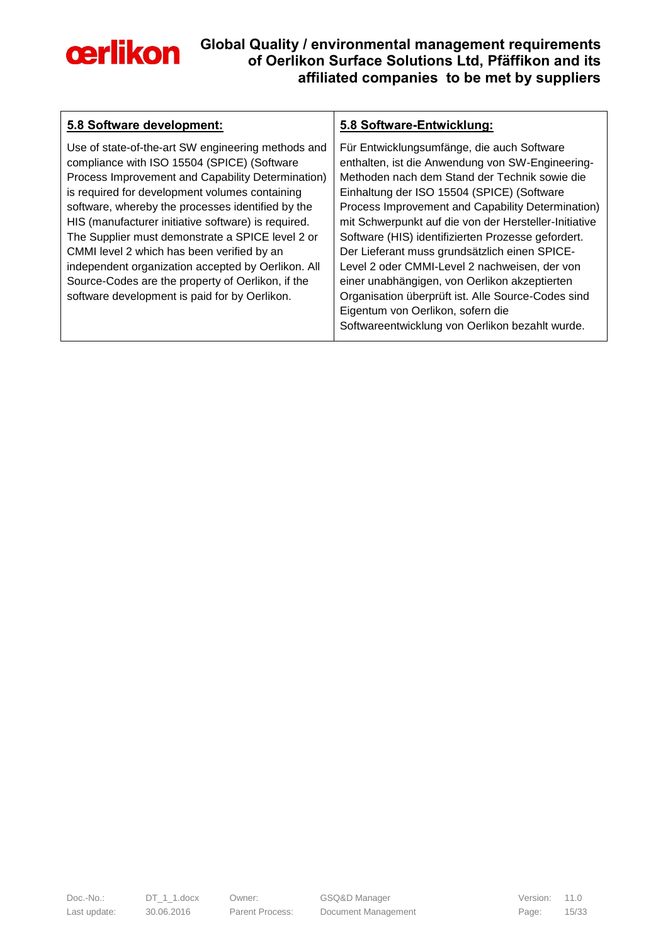

| 5.8 Software development:                                                                                                                                                                                                                                                                                                                                                                                                                                                                                                                                                          | 5.8 Software-Entwicklung:                                                                                                                                                                                                                                                                                                                                                                                                                                                                                                                                                                                                                                          |
|------------------------------------------------------------------------------------------------------------------------------------------------------------------------------------------------------------------------------------------------------------------------------------------------------------------------------------------------------------------------------------------------------------------------------------------------------------------------------------------------------------------------------------------------------------------------------------|--------------------------------------------------------------------------------------------------------------------------------------------------------------------------------------------------------------------------------------------------------------------------------------------------------------------------------------------------------------------------------------------------------------------------------------------------------------------------------------------------------------------------------------------------------------------------------------------------------------------------------------------------------------------|
| Use of state-of-the-art SW engineering methods and<br>compliance with ISO 15504 (SPICE) (Software<br>Process Improvement and Capability Determination)<br>is required for development volumes containing<br>software, whereby the processes identified by the<br>HIS (manufacturer initiative software) is required.<br>The Supplier must demonstrate a SPICE level 2 or<br>CMMI level 2 which has been verified by an<br>independent organization accepted by Oerlikon. All<br>Source-Codes are the property of Oerlikon, if the<br>software development is paid for by Oerlikon. | Für Entwicklungsumfänge, die auch Software<br>enthalten, ist die Anwendung von SW-Engineering-<br>Methoden nach dem Stand der Technik sowie die<br>Einhaltung der ISO 15504 (SPICE) (Software<br>Process Improvement and Capability Determination)<br>mit Schwerpunkt auf die von der Hersteller-Initiative<br>Software (HIS) identifizierten Prozesse gefordert.<br>Der Lieferant muss grundsätzlich einen SPICE-<br>Level 2 oder CMMI-Level 2 nachweisen, der von<br>einer unabhängigen, von Oerlikon akzeptierten<br>Organisation überprüft ist. Alle Source-Codes sind<br>Eigentum von Oerlikon, sofern die<br>Softwareentwicklung von Oerlikon bezahlt wurde. |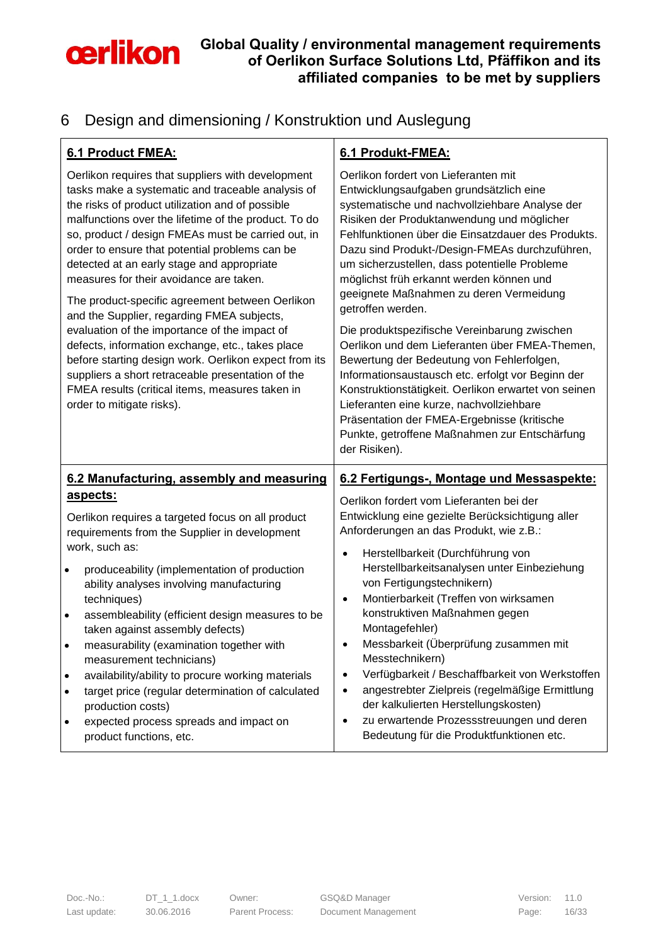

## <span id="page-15-0"></span>6 Design and dimensioning / Konstruktion und Auslegung

| <b>6.1 Product FMEA:</b>                                                                                                                                                                                                                                                                                                                                                                                                                                                                                                                                                                                                                                                                                                                                                                                                | 6.1 Produkt-FMEA:                                                                                                                                                                                                                                                                                                                                                                                                                                                                                                                                                                                                                                                                                                                                                                                                                                            |
|-------------------------------------------------------------------------------------------------------------------------------------------------------------------------------------------------------------------------------------------------------------------------------------------------------------------------------------------------------------------------------------------------------------------------------------------------------------------------------------------------------------------------------------------------------------------------------------------------------------------------------------------------------------------------------------------------------------------------------------------------------------------------------------------------------------------------|--------------------------------------------------------------------------------------------------------------------------------------------------------------------------------------------------------------------------------------------------------------------------------------------------------------------------------------------------------------------------------------------------------------------------------------------------------------------------------------------------------------------------------------------------------------------------------------------------------------------------------------------------------------------------------------------------------------------------------------------------------------------------------------------------------------------------------------------------------------|
| Oerlikon requires that suppliers with development<br>tasks make a systematic and traceable analysis of<br>the risks of product utilization and of possible<br>malfunctions over the lifetime of the product. To do<br>so, product / design FMEAs must be carried out, in<br>order to ensure that potential problems can be<br>detected at an early stage and appropriate<br>measures for their avoidance are taken.<br>The product-specific agreement between Oerlikon<br>and the Supplier, regarding FMEA subjects,<br>evaluation of the importance of the impact of<br>defects, information exchange, etc., takes place<br>before starting design work. Oerlikon expect from its<br>suppliers a short retraceable presentation of the<br>FMEA results (critical items, measures taken in<br>order to mitigate risks). | Oerlikon fordert von Lieferanten mit<br>Entwicklungsaufgaben grundsätzlich eine<br>systematische und nachvollziehbare Analyse der<br>Risiken der Produktanwendung und möglicher<br>Fehlfunktionen über die Einsatzdauer des Produkts.<br>Dazu sind Produkt-/Design-FMEAs durchzuführen,<br>um sicherzustellen, dass potentielle Probleme<br>möglichst früh erkannt werden können und<br>geeignete Maßnahmen zu deren Vermeidung<br>getroffen werden.<br>Die produktspezifische Vereinbarung zwischen<br>Oerlikon und dem Lieferanten über FMEA-Themen,<br>Bewertung der Bedeutung von Fehlerfolgen,<br>Informationsaustausch etc. erfolgt vor Beginn der<br>Konstruktionstätigkeit. Oerlikon erwartet von seinen<br>Lieferanten eine kurze, nachvollziehbare<br>Präsentation der FMEA-Ergebnisse (kritische<br>Punkte, getroffene Maßnahmen zur Entschärfung |
|                                                                                                                                                                                                                                                                                                                                                                                                                                                                                                                                                                                                                                                                                                                                                                                                                         | der Risiken).                                                                                                                                                                                                                                                                                                                                                                                                                                                                                                                                                                                                                                                                                                                                                                                                                                                |
| 6.2 Manufacturing, assembly and measuring<br><u>aspects:</u><br>Oerlikon requires a targeted focus on all product<br>requirements from the Supplier in development<br>work, such as:<br>produceability (implementation of production<br>$\bullet$                                                                                                                                                                                                                                                                                                                                                                                                                                                                                                                                                                       | 6.2 Fertigungs-, Montage und Messaspekte:<br>Oerlikon fordert vom Lieferanten bei der<br>Entwicklung eine gezielte Berücksichtigung aller<br>Anforderungen an das Produkt, wie z.B.:<br>Herstellbarkeit (Durchführung von<br>$\bullet$<br>Herstellbarkeitsanalysen unter Einbeziehung                                                                                                                                                                                                                                                                                                                                                                                                                                                                                                                                                                        |
| ability analyses involving manufacturing<br>techniques)<br>assembleability (efficient design measures to be<br>$\bullet$<br>taken against assembly defects)                                                                                                                                                                                                                                                                                                                                                                                                                                                                                                                                                                                                                                                             | von Fertigungstechnikern)<br>Montierbarkeit (Treffen von wirksamen<br>$\bullet$<br>konstruktiven Maßnahmen gegen<br>Montagefehler)                                                                                                                                                                                                                                                                                                                                                                                                                                                                                                                                                                                                                                                                                                                           |
| measurability (examination together with<br>measurement technicians)                                                                                                                                                                                                                                                                                                                                                                                                                                                                                                                                                                                                                                                                                                                                                    | Messbarkeit (Überprüfung zusammen mit<br>Messtechnikern)                                                                                                                                                                                                                                                                                                                                                                                                                                                                                                                                                                                                                                                                                                                                                                                                     |
| availability/ability to procure working materials<br>$\bullet$<br>target price (regular determination of calculated<br>$\bullet$<br>production costs)                                                                                                                                                                                                                                                                                                                                                                                                                                                                                                                                                                                                                                                                   | Verfügbarkeit / Beschaffbarkeit von Werkstoffen<br>$\bullet$<br>angestrebter Zielpreis (regelmäßige Ermittlung<br>$\bullet$<br>der kalkulierten Herstellungskosten)<br>zu erwartende Prozessstreuungen und deren                                                                                                                                                                                                                                                                                                                                                                                                                                                                                                                                                                                                                                             |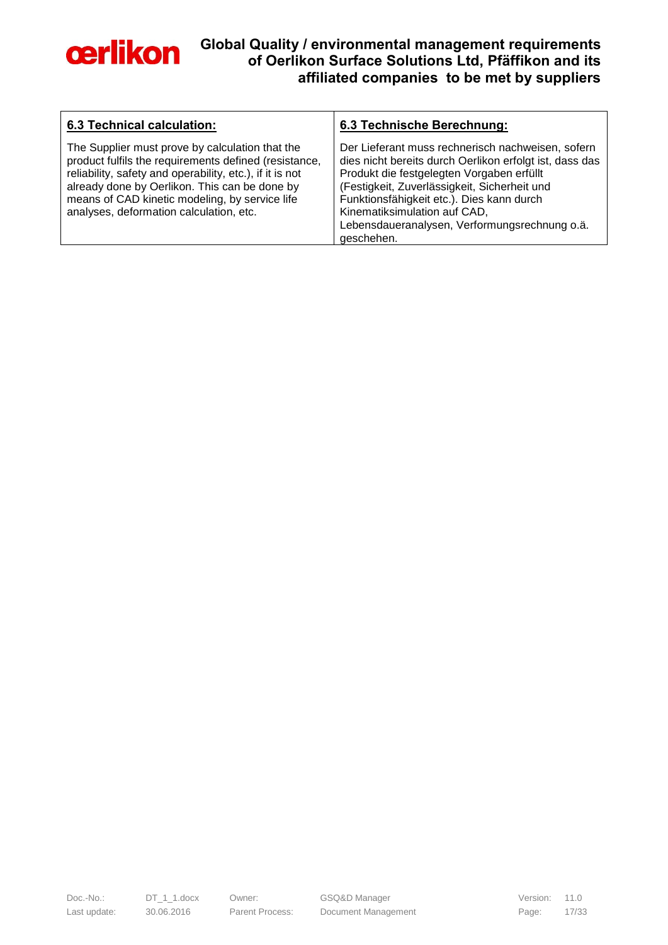

| <b>6.3 Technical calculation:</b>                                                                                                                                                                                                                                                                                  | 6.3 Technische Berechnung:                                                                                                                                                                                                                                                                                                                            |
|--------------------------------------------------------------------------------------------------------------------------------------------------------------------------------------------------------------------------------------------------------------------------------------------------------------------|-------------------------------------------------------------------------------------------------------------------------------------------------------------------------------------------------------------------------------------------------------------------------------------------------------------------------------------------------------|
| The Supplier must prove by calculation that the<br>product fulfils the requirements defined (resistance,<br>reliability, safety and operability, etc.), if it is not<br>already done by Oerlikon. This can be done by<br>means of CAD kinetic modeling, by service life<br>analyses, deformation calculation, etc. | Der Lieferant muss rechnerisch nachweisen, sofern<br>dies nicht bereits durch Oerlikon erfolgt ist, dass das<br>Produkt die festgelegten Vorgaben erfüllt<br>(Festigkeit, Zuverlässigkeit, Sicherheit und<br>Funktionsfähigkeit etc.). Dies kann durch<br>Kinematiksimulation auf CAD,<br>Lebensdaueranalysen, Verformungsrechnung o.ä.<br>geschehen. |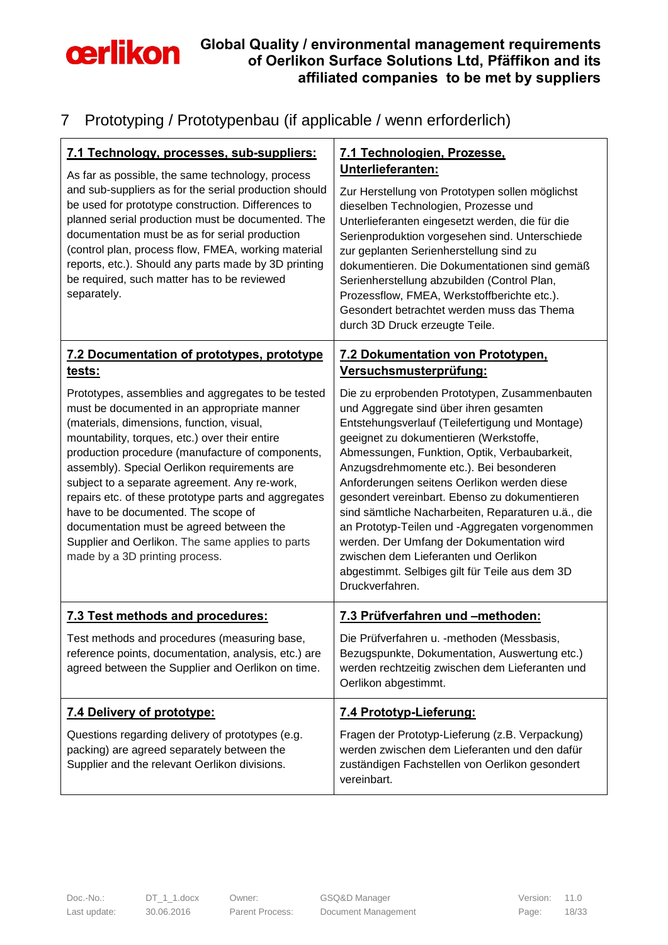

## <span id="page-17-0"></span>7 Prototyping / Prototypenbau (if applicable / wenn erforderlich)

| 7.1 Technology, processes, sub-suppliers:<br>As far as possible, the same technology, process<br>and sub-suppliers as for the serial production should<br>be used for prototype construction. Differences to<br>planned serial production must be documented. The<br>documentation must be as for serial production<br>(control plan, process flow, FMEA, working material<br>reports, etc.). Should any parts made by 3D printing<br>be required, such matter has to be reviewed<br>separately.                                                                                       | 7.1 Technologien, Prozesse,<br>Unterlieferanten:<br>Zur Herstellung von Prototypen sollen möglichst<br>dieselben Technologien, Prozesse und<br>Unterlieferanten eingesetzt werden, die für die<br>Serienproduktion vorgesehen sind. Unterschiede<br>zur geplanten Serienherstellung sind zu<br>dokumentieren. Die Dokumentationen sind gemäß<br>Serienherstellung abzubilden (Control Plan,<br>Prozessflow, FMEA, Werkstoffberichte etc.).<br>Gesondert betrachtet werden muss das Thema<br>durch 3D Druck erzeugte Teile.                                                                                                                         |
|----------------------------------------------------------------------------------------------------------------------------------------------------------------------------------------------------------------------------------------------------------------------------------------------------------------------------------------------------------------------------------------------------------------------------------------------------------------------------------------------------------------------------------------------------------------------------------------|----------------------------------------------------------------------------------------------------------------------------------------------------------------------------------------------------------------------------------------------------------------------------------------------------------------------------------------------------------------------------------------------------------------------------------------------------------------------------------------------------------------------------------------------------------------------------------------------------------------------------------------------------|
| 7.2 Documentation of prototypes, prototype<br><u>tests:</u>                                                                                                                                                                                                                                                                                                                                                                                                                                                                                                                            | 7.2 Dokumentation von Prototypen,<br><u>Versuchsmusterprüfung:</u>                                                                                                                                                                                                                                                                                                                                                                                                                                                                                                                                                                                 |
| Prototypes, assemblies and aggregates to be tested<br>must be documented in an appropriate manner<br>(materials, dimensions, function, visual,<br>mountability, torques, etc.) over their entire<br>production procedure (manufacture of components,<br>assembly). Special Oerlikon requirements are<br>subject to a separate agreement. Any re-work,<br>repairs etc. of these prototype parts and aggregates<br>have to be documented. The scope of<br>documentation must be agreed between the<br>Supplier and Oerlikon. The same applies to parts<br>made by a 3D printing process. | Die zu erprobenden Prototypen, Zusammenbauten<br>und Aggregate sind über ihren gesamten<br>Entstehungsverlauf (Teilefertigung und Montage)<br>geeignet zu dokumentieren (Werkstoffe,<br>Abmessungen, Funktion, Optik, Verbaubarkeit,<br>Anzugsdrehmomente etc.). Bei besonderen<br>Anforderungen seitens Oerlikon werden diese<br>gesondert vereinbart. Ebenso zu dokumentieren<br>sind sämtliche Nacharbeiten, Reparaturen u.ä., die<br>an Prototyp-Teilen und -Aggregaten vorgenommen<br>werden. Der Umfang der Dokumentation wird<br>zwischen dem Lieferanten und Oerlikon<br>abgestimmt. Selbiges gilt für Teile aus dem 3D<br>Druckverfahren. |
| 7.3 Test methods and procedures:                                                                                                                                                                                                                                                                                                                                                                                                                                                                                                                                                       | 7.3 Prüfverfahren und -methoden:                                                                                                                                                                                                                                                                                                                                                                                                                                                                                                                                                                                                                   |
| Test methods and procedures (measuring base,<br>reference points, documentation, analysis, etc.) are<br>agreed between the Supplier and Oerlikon on time.                                                                                                                                                                                                                                                                                                                                                                                                                              | Die Prüfverfahren u. - methoden (Messbasis,<br>Bezugspunkte, Dokumentation, Auswertung etc.)<br>werden rechtzeitig zwischen dem Lieferanten und<br>Oerlikon abgestimmt.                                                                                                                                                                                                                                                                                                                                                                                                                                                                            |
| 7.4 Delivery of prototype:                                                                                                                                                                                                                                                                                                                                                                                                                                                                                                                                                             | 7.4 Prototyp-Lieferung:                                                                                                                                                                                                                                                                                                                                                                                                                                                                                                                                                                                                                            |
| Questions regarding delivery of prototypes (e.g.<br>packing) are agreed separately between the<br>Supplier and the relevant Oerlikon divisions.                                                                                                                                                                                                                                                                                                                                                                                                                                        | Fragen der Prototyp-Lieferung (z.B. Verpackung)<br>werden zwischen dem Lieferanten und den dafür<br>zuständigen Fachstellen von Oerlikon gesondert<br>vereinbart.                                                                                                                                                                                                                                                                                                                                                                                                                                                                                  |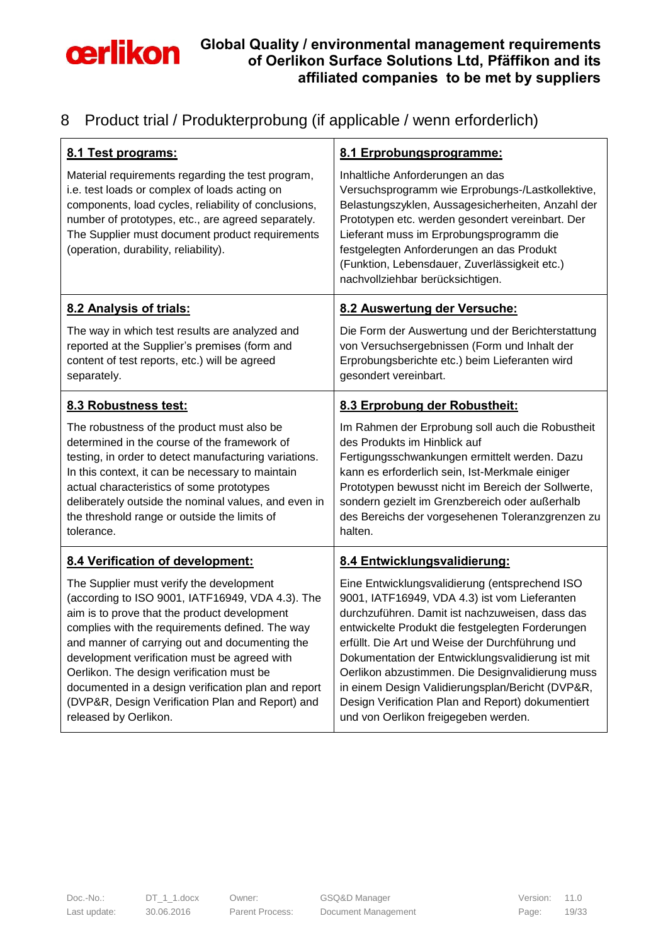

### <span id="page-18-0"></span>8 Product trial / Produkterprobung (if applicable / wenn erforderlich)

| 8.1 Test programs:                                                                                                                                                                                                                                                                                                                                                                                                                                                                 | 8.1 Erprobungsprogramme:                                                                                                                                                                                                                                                                                                                                                                                                                                                                                            |
|------------------------------------------------------------------------------------------------------------------------------------------------------------------------------------------------------------------------------------------------------------------------------------------------------------------------------------------------------------------------------------------------------------------------------------------------------------------------------------|---------------------------------------------------------------------------------------------------------------------------------------------------------------------------------------------------------------------------------------------------------------------------------------------------------------------------------------------------------------------------------------------------------------------------------------------------------------------------------------------------------------------|
| Material requirements regarding the test program,<br>i.e. test loads or complex of loads acting on<br>components, load cycles, reliability of conclusions,<br>number of prototypes, etc., are agreed separately.<br>The Supplier must document product requirements<br>(operation, durability, reliability).                                                                                                                                                                       | Inhaltliche Anforderungen an das<br>Versuchsprogramm wie Erprobungs-/Lastkollektive,<br>Belastungszyklen, Aussagesicherheiten, Anzahl der<br>Prototypen etc. werden gesondert vereinbart. Der<br>Lieferant muss im Erprobungsprogramm die<br>festgelegten Anforderungen an das Produkt<br>(Funktion, Lebensdauer, Zuverlässigkeit etc.)<br>nachvollziehbar berücksichtigen.                                                                                                                                         |
| 8.2 Analysis of trials:                                                                                                                                                                                                                                                                                                                                                                                                                                                            | 8.2 Auswertung der Versuche:                                                                                                                                                                                                                                                                                                                                                                                                                                                                                        |
| The way in which test results are analyzed and<br>reported at the Supplier's premises (form and<br>content of test reports, etc.) will be agreed<br>separately.                                                                                                                                                                                                                                                                                                                    | Die Form der Auswertung und der Berichterstattung<br>von Versuchsergebnissen (Form und Inhalt der<br>Erprobungsberichte etc.) beim Lieferanten wird<br>gesondert vereinbart.                                                                                                                                                                                                                                                                                                                                        |
| 8.3 Robustness test:                                                                                                                                                                                                                                                                                                                                                                                                                                                               | 8.3 Erprobung der Robustheit:                                                                                                                                                                                                                                                                                                                                                                                                                                                                                       |
| The robustness of the product must also be<br>determined in the course of the framework of<br>testing, in order to detect manufacturing variations.<br>In this context, it can be necessary to maintain<br>actual characteristics of some prototypes<br>deliberately outside the nominal values, and even in<br>the threshold range or outside the limits of<br>tolerance.                                                                                                         | Im Rahmen der Erprobung soll auch die Robustheit<br>des Produkts im Hinblick auf<br>Fertigungsschwankungen ermittelt werden. Dazu<br>kann es erforderlich sein, Ist-Merkmale einiger<br>Prototypen bewusst nicht im Bereich der Sollwerte,<br>sondern gezielt im Grenzbereich oder außerhalb<br>des Bereichs der vorgesehenen Toleranzgrenzen zu<br>halten.                                                                                                                                                         |
| 8.4 Verification of development:                                                                                                                                                                                                                                                                                                                                                                                                                                                   | 8.4 Entwicklungsvalidierung:                                                                                                                                                                                                                                                                                                                                                                                                                                                                                        |
| The Supplier must verify the development<br>(according to ISO 9001, IATF16949, VDA 4.3). The<br>aim is to prove that the product development<br>complies with the requirements defined. The way<br>and manner of carrying out and documenting the<br>development verification must be agreed with<br>Oerlikon. The design verification must be<br>documented in a design verification plan and report<br>(DVP&R, Design Verification Plan and Report) and<br>released by Oerlikon. | Eine Entwicklungsvalidierung (entsprechend ISO<br>9001, IATF16949, VDA 4.3) ist vom Lieferanten<br>durchzuführen. Damit ist nachzuweisen, dass das<br>entwickelte Produkt die festgelegten Forderungen<br>erfüllt. Die Art und Weise der Durchführung und<br>Dokumentation der Entwicklungsvalidierung ist mit<br>Oerlikon abzustimmen. Die Designvalidierung muss<br>in einem Design Validierungsplan/Bericht (DVP&R,<br>Design Verification Plan and Report) dokumentiert<br>und von Oerlikon freigegeben werden. |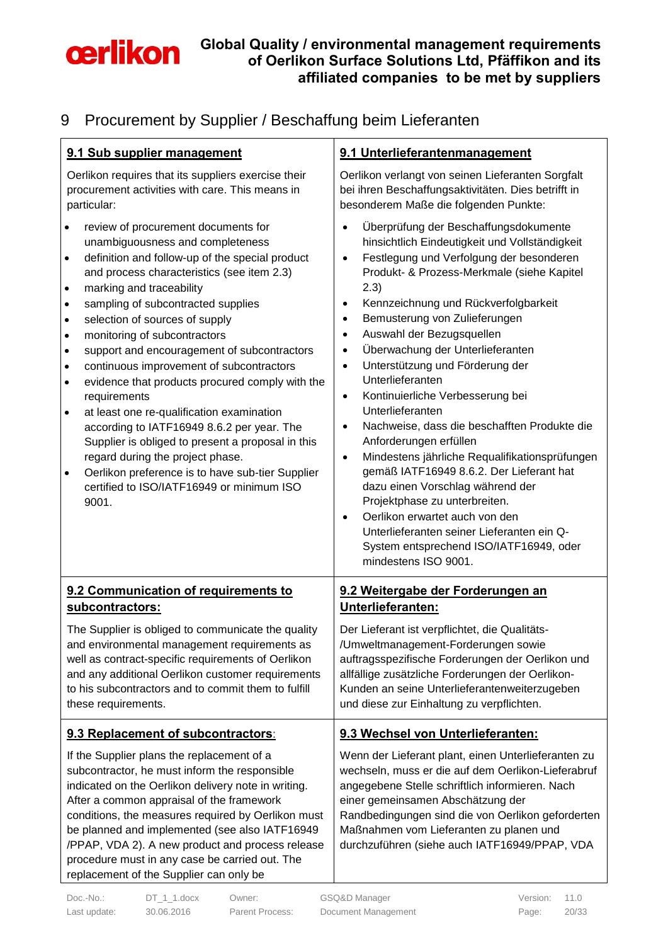

# <span id="page-19-0"></span>9 Procurement by Supplier / Beschaffung beim Lieferanten

| 9.1 Sub supplier management                                                                                                                                                                                                                                                                                                                                                                                                                                                                                                                                                                                                                                                                                                                                                                                                                                                                                             | 9.1 Unterlieferantenmanagement                                                                                                                                                                                                                                                                                                                                                                                                                                                                                                                                                                                                                                                                                                                                                                                                                                                                                                                                                             |
|-------------------------------------------------------------------------------------------------------------------------------------------------------------------------------------------------------------------------------------------------------------------------------------------------------------------------------------------------------------------------------------------------------------------------------------------------------------------------------------------------------------------------------------------------------------------------------------------------------------------------------------------------------------------------------------------------------------------------------------------------------------------------------------------------------------------------------------------------------------------------------------------------------------------------|--------------------------------------------------------------------------------------------------------------------------------------------------------------------------------------------------------------------------------------------------------------------------------------------------------------------------------------------------------------------------------------------------------------------------------------------------------------------------------------------------------------------------------------------------------------------------------------------------------------------------------------------------------------------------------------------------------------------------------------------------------------------------------------------------------------------------------------------------------------------------------------------------------------------------------------------------------------------------------------------|
| Oerlikon requires that its suppliers exercise their<br>procurement activities with care. This means in<br>particular:                                                                                                                                                                                                                                                                                                                                                                                                                                                                                                                                                                                                                                                                                                                                                                                                   | Oerlikon verlangt von seinen Lieferanten Sorgfalt<br>bei ihren Beschaffungsaktivitäten. Dies betrifft in<br>besonderem Maße die folgenden Punkte:                                                                                                                                                                                                                                                                                                                                                                                                                                                                                                                                                                                                                                                                                                                                                                                                                                          |
| review of procurement documents for<br>$\bullet$<br>unambiguousness and completeness<br>definition and follow-up of the special product<br>$\bullet$<br>and process characteristics (see item 2.3)<br>marking and traceability<br>$\bullet$<br>sampling of subcontracted supplies<br>$\bullet$<br>selection of sources of supply<br>$\bullet$<br>monitoring of subcontractors<br>$\bullet$<br>support and encouragement of subcontractors<br>$\bullet$<br>continuous improvement of subcontractors<br>$\bullet$<br>evidence that products procured comply with the<br>$\bullet$<br>requirements<br>at least one re-qualification examination<br>$\bullet$<br>according to IATF16949 8.6.2 per year. The<br>Supplier is obliged to present a proposal in this<br>regard during the project phase.<br>Oerlikon preference is to have sub-tier Supplier<br>$\bullet$<br>certified to ISO/IATF16949 or minimum ISO<br>9001. | Überprüfung der Beschaffungsdokumente<br>٠<br>hinsichtlich Eindeutigkeit und Vollständigkeit<br>Festlegung und Verfolgung der besonderen<br>$\bullet$<br>Produkt- & Prozess-Merkmale (siehe Kapitel<br>(2.3)<br>Kennzeichnung und Rückverfolgbarkeit<br>$\bullet$<br>Bemusterung von Zulieferungen<br>$\bullet$<br>Auswahl der Bezugsquellen<br>$\bullet$<br>Überwachung der Unterlieferanten<br>$\bullet$<br>Unterstützung und Förderung der<br>$\bullet$<br>Unterlieferanten<br>Kontinuierliche Verbesserung bei<br>$\bullet$<br>Unterlieferanten<br>Nachweise, dass die beschafften Produkte die<br>$\bullet$<br>Anforderungen erfüllen<br>Mindestens jährliche Requalifikationsprüfungen<br>$\bullet$<br>gemäß IATF16949 8.6.2. Der Lieferant hat<br>dazu einen Vorschlag während der<br>Projektphase zu unterbreiten.<br>Oerlikon erwartet auch von den<br>$\bullet$<br>Unterlieferanten seiner Lieferanten ein Q-<br>System entsprechend ISO/IATF16949, oder<br>mindestens ISO 9001. |
| 9.2 Communication of requirements to<br>subcontractors:                                                                                                                                                                                                                                                                                                                                                                                                                                                                                                                                                                                                                                                                                                                                                                                                                                                                 | 9.2 Weitergabe der Forderungen an<br>Unterlieferanten:                                                                                                                                                                                                                                                                                                                                                                                                                                                                                                                                                                                                                                                                                                                                                                                                                                                                                                                                     |
| The Supplier is obliged to communicate the quality<br>and environmental management requirements as<br>well as contract-specific requirements of Oerlikon<br>and any additional Oerlikon customer requirements<br>to his subcontractors and to commit them to fulfill<br>these requirements.                                                                                                                                                                                                                                                                                                                                                                                                                                                                                                                                                                                                                             | Der Lieferant ist verpflichtet, die Qualitäts-<br>/Umweltmanagement-Forderungen sowie<br>auftragsspezifische Forderungen der Oerlikon und<br>allfällige zusätzliche Forderungen der Oerlikon-<br>Kunden an seine Unterlieferantenweiterzugeben<br>und diese zur Einhaltung zu verpflichten.                                                                                                                                                                                                                                                                                                                                                                                                                                                                                                                                                                                                                                                                                                |
| 9.3 Replacement of subcontractors:                                                                                                                                                                                                                                                                                                                                                                                                                                                                                                                                                                                                                                                                                                                                                                                                                                                                                      | 9.3 Wechsel von Unterlieferanten:                                                                                                                                                                                                                                                                                                                                                                                                                                                                                                                                                                                                                                                                                                                                                                                                                                                                                                                                                          |
| If the Supplier plans the replacement of a<br>subcontractor, he must inform the responsible<br>indicated on the Oerlikon delivery note in writing.<br>After a common appraisal of the framework<br>conditions, the measures required by Oerlikon must<br>be planned and implemented (see also IATF16949<br>/PPAP, VDA 2). A new product and process release<br>procedure must in any case be carried out. The<br>replacement of the Supplier can only be                                                                                                                                                                                                                                                                                                                                                                                                                                                                | Wenn der Lieferant plant, einen Unterlieferanten zu<br>wechseln, muss er die auf dem Oerlikon-Lieferabruf<br>angegebene Stelle schriftlich informieren. Nach<br>einer gemeinsamen Abschätzung der<br>Randbedingungen sind die von Oerlikon geforderten<br>Maßnahmen vom Lieferanten zu planen und<br>durchzuführen (siehe auch IATF16949/PPAP, VDA                                                                                                                                                                                                                                                                                                                                                                                                                                                                                                                                                                                                                                         |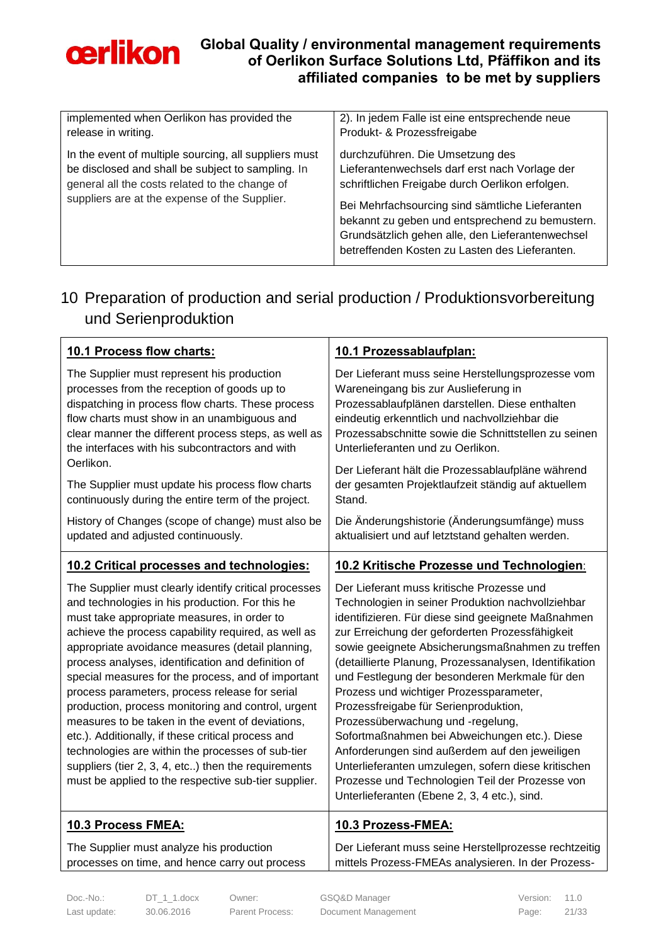

| implemented when Oerlikon has provided the                                                                                                                                                                    | 2). In jedem Falle ist eine entsprechende neue                                                                                                                                                                                                                                                                                                    |
|---------------------------------------------------------------------------------------------------------------------------------------------------------------------------------------------------------------|---------------------------------------------------------------------------------------------------------------------------------------------------------------------------------------------------------------------------------------------------------------------------------------------------------------------------------------------------|
| release in writing.                                                                                                                                                                                           | Produkt- & Prozessfreigabe                                                                                                                                                                                                                                                                                                                        |
| In the event of multiple sourcing, all suppliers must<br>be disclosed and shall be subject to sampling. In<br>general all the costs related to the change of<br>suppliers are at the expense of the Supplier. | durchzuführen. Die Umsetzung des<br>Lieferantenwechsels darf erst nach Vorlage der<br>schriftlichen Freigabe durch Oerlikon erfolgen.<br>Bei Mehrfachsourcing sind sämtliche Lieferanten<br>bekannt zu geben und entsprechend zu bemustern.<br>Grundsätzlich gehen alle, den Lieferantenwechsel<br>betreffenden Kosten zu Lasten des Lieferanten. |

## <span id="page-20-0"></span>10 Preparation of production and serial production / Produktionsvorbereitung und Serienproduktion

| 10.1 Process flow charts:                                                                                                                                                                                                                                                                                                                                                                                                                                                                                                                                                                                                                                                                                                                                            | 10.1 Prozessablaufplan:                                                                                                                                                                                                                                                                                                                                                                                                                                                                                                                                                                                                                                                                                                                                       |
|----------------------------------------------------------------------------------------------------------------------------------------------------------------------------------------------------------------------------------------------------------------------------------------------------------------------------------------------------------------------------------------------------------------------------------------------------------------------------------------------------------------------------------------------------------------------------------------------------------------------------------------------------------------------------------------------------------------------------------------------------------------------|---------------------------------------------------------------------------------------------------------------------------------------------------------------------------------------------------------------------------------------------------------------------------------------------------------------------------------------------------------------------------------------------------------------------------------------------------------------------------------------------------------------------------------------------------------------------------------------------------------------------------------------------------------------------------------------------------------------------------------------------------------------|
| The Supplier must represent his production                                                                                                                                                                                                                                                                                                                                                                                                                                                                                                                                                                                                                                                                                                                           | Der Lieferant muss seine Herstellungsprozesse vom                                                                                                                                                                                                                                                                                                                                                                                                                                                                                                                                                                                                                                                                                                             |
| processes from the reception of goods up to                                                                                                                                                                                                                                                                                                                                                                                                                                                                                                                                                                                                                                                                                                                          | Wareneingang bis zur Auslieferung in                                                                                                                                                                                                                                                                                                                                                                                                                                                                                                                                                                                                                                                                                                                          |
| dispatching in process flow charts. These process                                                                                                                                                                                                                                                                                                                                                                                                                                                                                                                                                                                                                                                                                                                    | Prozessablaufplänen darstellen. Diese enthalten                                                                                                                                                                                                                                                                                                                                                                                                                                                                                                                                                                                                                                                                                                               |
| flow charts must show in an unambiguous and                                                                                                                                                                                                                                                                                                                                                                                                                                                                                                                                                                                                                                                                                                                          | eindeutig erkenntlich und nachvollziehbar die                                                                                                                                                                                                                                                                                                                                                                                                                                                                                                                                                                                                                                                                                                                 |
| clear manner the different process steps, as well as                                                                                                                                                                                                                                                                                                                                                                                                                                                                                                                                                                                                                                                                                                                 | Prozessabschnitte sowie die Schnittstellen zu seinen                                                                                                                                                                                                                                                                                                                                                                                                                                                                                                                                                                                                                                                                                                          |
| the interfaces with his subcontractors and with                                                                                                                                                                                                                                                                                                                                                                                                                                                                                                                                                                                                                                                                                                                      | Unterlieferanten und zu Oerlikon.                                                                                                                                                                                                                                                                                                                                                                                                                                                                                                                                                                                                                                                                                                                             |
| Oerlikon.                                                                                                                                                                                                                                                                                                                                                                                                                                                                                                                                                                                                                                                                                                                                                            | Der Lieferant hält die Prozessablaufpläne während                                                                                                                                                                                                                                                                                                                                                                                                                                                                                                                                                                                                                                                                                                             |
| The Supplier must update his process flow charts                                                                                                                                                                                                                                                                                                                                                                                                                                                                                                                                                                                                                                                                                                                     | der gesamten Projektlaufzeit ständig auf aktuellem                                                                                                                                                                                                                                                                                                                                                                                                                                                                                                                                                                                                                                                                                                            |
| continuously during the entire term of the project.                                                                                                                                                                                                                                                                                                                                                                                                                                                                                                                                                                                                                                                                                                                  | Stand.                                                                                                                                                                                                                                                                                                                                                                                                                                                                                                                                                                                                                                                                                                                                                        |
| History of Changes (scope of change) must also be                                                                                                                                                                                                                                                                                                                                                                                                                                                                                                                                                                                                                                                                                                                    | Die Änderungshistorie (Änderungsumfänge) muss                                                                                                                                                                                                                                                                                                                                                                                                                                                                                                                                                                                                                                                                                                                 |
| updated and adjusted continuously.                                                                                                                                                                                                                                                                                                                                                                                                                                                                                                                                                                                                                                                                                                                                   | aktualisiert und auf letztstand gehalten werden.                                                                                                                                                                                                                                                                                                                                                                                                                                                                                                                                                                                                                                                                                                              |
| 10.2 Critical processes and technologies:                                                                                                                                                                                                                                                                                                                                                                                                                                                                                                                                                                                                                                                                                                                            | 10.2 Kritische Prozesse und Technologien:                                                                                                                                                                                                                                                                                                                                                                                                                                                                                                                                                                                                                                                                                                                     |
| The Supplier must clearly identify critical processes<br>and technologies in his production. For this he<br>must take appropriate measures, in order to<br>achieve the process capability required, as well as<br>appropriate avoidance measures (detail planning,<br>process analyses, identification and definition of<br>special measures for the process, and of important<br>process parameters, process release for serial<br>production, process monitoring and control, urgent<br>measures to be taken in the event of deviations,<br>etc.). Additionally, if these critical process and<br>technologies are within the processes of sub-tier<br>suppliers (tier 2, 3, 4, etc) then the requirements<br>must be applied to the respective sub-tier supplier. | Der Lieferant muss kritische Prozesse und<br>Technologien in seiner Produktion nachvollziehbar<br>identifizieren. Für diese sind geeignete Maßnahmen<br>zur Erreichung der geforderten Prozessfähigkeit<br>sowie geeignete Absicherungsmaßnahmen zu treffen<br>(detaillierte Planung, Prozessanalysen, Identifikation<br>und Festlegung der besonderen Merkmale für den<br>Prozess und wichtiger Prozessparameter,<br>Prozessfreigabe für Serienproduktion,<br>Prozessüberwachung und -regelung,<br>Sofortmaßnahmen bei Abweichungen etc.). Diese<br>Anforderungen sind außerdem auf den jeweiligen<br>Unterlieferanten umzulegen, sofern diese kritischen<br>Prozesse und Technologien Teil der Prozesse von<br>Unterlieferanten (Ebene 2, 3, 4 etc.), sind. |
| 10.3 Process FMEA:                                                                                                                                                                                                                                                                                                                                                                                                                                                                                                                                                                                                                                                                                                                                                   | 10.3 Prozess-FMEA:                                                                                                                                                                                                                                                                                                                                                                                                                                                                                                                                                                                                                                                                                                                                            |
| The Supplier must analyze his production                                                                                                                                                                                                                                                                                                                                                                                                                                                                                                                                                                                                                                                                                                                             | Der Lieferant muss seine Herstellprozesse rechtzeitig                                                                                                                                                                                                                                                                                                                                                                                                                                                                                                                                                                                                                                                                                                         |
| processes on time, and hence carry out process                                                                                                                                                                                                                                                                                                                                                                                                                                                                                                                                                                                                                                                                                                                       | mittels Prozess-FMEAs analysieren. In der Prozess-                                                                                                                                                                                                                                                                                                                                                                                                                                                                                                                                                                                                                                                                                                            |

Doc.-No.: DT\_1\_1.docx Owner: GSQ&D Manager Version: 11.0 Last update: 30.06.2016 Parent Process: Document Management Page: 21/33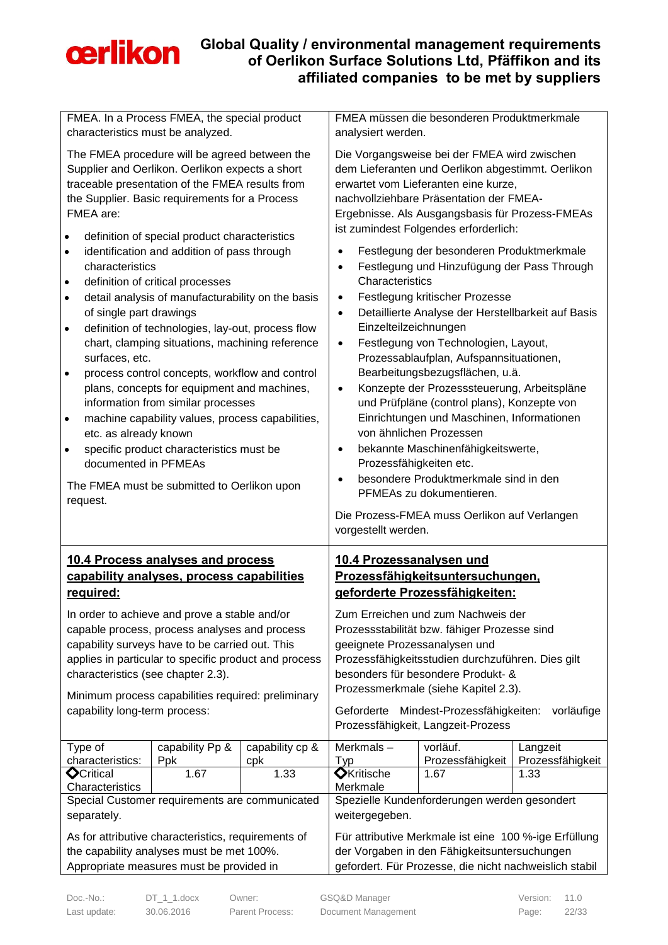

| FMEA. In a Process FMEA, the special product                                                                                                                                                                                                                                                                                                 |                                      |                                                                                                                                                  | FMEA müssen die besonderen Produktmerkmale |                                                                                                                                                                                                                                                                                                                                            |                                                                                                                                                                   |                  |  |
|----------------------------------------------------------------------------------------------------------------------------------------------------------------------------------------------------------------------------------------------------------------------------------------------------------------------------------------------|--------------------------------------|--------------------------------------------------------------------------------------------------------------------------------------------------|--------------------------------------------|--------------------------------------------------------------------------------------------------------------------------------------------------------------------------------------------------------------------------------------------------------------------------------------------------------------------------------------------|-------------------------------------------------------------------------------------------------------------------------------------------------------------------|------------------|--|
| characteristics must be analyzed.                                                                                                                                                                                                                                                                                                            |                                      |                                                                                                                                                  | analysiert werden.                         |                                                                                                                                                                                                                                                                                                                                            |                                                                                                                                                                   |                  |  |
| The FMEA procedure will be agreed between the<br>Supplier and Oerlikon. Oerlikon expects a short<br>traceable presentation of the FMEA results from<br>the Supplier. Basic requirements for a Process<br>FMEA are:<br>definition of special product characteristics<br>$\bullet$<br>identification and addition of pass through<br>$\bullet$ |                                      |                                                                                                                                                  |                                            | Die Vorgangsweise bei der FMEA wird zwischen<br>dem Lieferanten und Oerlikon abgestimmt. Oerlikon<br>erwartet vom Lieferanten eine kurze,<br>nachvollziehbare Präsentation der FMEA-<br>Ergebnisse. Als Ausgangsbasis für Prozess-FMEAs<br>ist zumindest Folgendes erforderlich:<br>Festlegung der besonderen Produktmerkmale<br>$\bullet$ |                                                                                                                                                                   |                  |  |
|                                                                                                                                                                                                                                                                                                                                              | characteristics                      |                                                                                                                                                  |                                            | $\bullet$                                                                                                                                                                                                                                                                                                                                  | Festlegung und Hinzufügung der Pass Through                                                                                                                       |                  |  |
| $\bullet$                                                                                                                                                                                                                                                                                                                                    |                                      | definition of critical processes                                                                                                                 |                                            | Characteristics                                                                                                                                                                                                                                                                                                                            |                                                                                                                                                                   |                  |  |
| $\bullet$                                                                                                                                                                                                                                                                                                                                    |                                      | detail analysis of manufacturability on the basis                                                                                                |                                            | $\bullet$                                                                                                                                                                                                                                                                                                                                  | Festlegung kritischer Prozesse                                                                                                                                    |                  |  |
| $\bullet$                                                                                                                                                                                                                                                                                                                                    | of single part drawings              | definition of technologies, lay-out, process flow                                                                                                |                                            | $\bullet$<br>Einzelteilzeichnungen                                                                                                                                                                                                                                                                                                         | Detaillierte Analyse der Herstellbarkeit auf Basis                                                                                                                |                  |  |
| $\bullet$                                                                                                                                                                                                                                                                                                                                    | surfaces, etc.                       | chart, clamping situations, machining reference<br>process control concepts, workflow and control<br>plans, concepts for equipment and machines, |                                            | $\bullet$<br>$\bullet$                                                                                                                                                                                                                                                                                                                     | Festlegung von Technologien, Layout,<br>Prozessablaufplan, Aufspannsituationen,<br>Bearbeitungsbezugsflächen, u.ä.<br>Konzepte der Prozesssteuerung, Arbeitspläne |                  |  |
|                                                                                                                                                                                                                                                                                                                                              |                                      | information from similar processes                                                                                                               |                                            |                                                                                                                                                                                                                                                                                                                                            | und Prüfpläne (control plans), Konzepte von                                                                                                                       |                  |  |
| $\bullet$                                                                                                                                                                                                                                                                                                                                    | etc. as already known                | machine capability values, process capabilities,                                                                                                 |                                            |                                                                                                                                                                                                                                                                                                                                            | Einrichtungen und Maschinen, Informationen<br>von ähnlichen Prozessen                                                                                             |                  |  |
| $\bullet$                                                                                                                                                                                                                                                                                                                                    |                                      | specific product characteristics must be                                                                                                         |                                            | $\bullet$                                                                                                                                                                                                                                                                                                                                  | bekannte Maschinenfähigkeitswerte,                                                                                                                                |                  |  |
|                                                                                                                                                                                                                                                                                                                                              | documented in PFMEAs                 |                                                                                                                                                  |                                            | Prozessfähigkeiten etc.                                                                                                                                                                                                                                                                                                                    |                                                                                                                                                                   |                  |  |
|                                                                                                                                                                                                                                                                                                                                              |                                      |                                                                                                                                                  |                                            | $\bullet$                                                                                                                                                                                                                                                                                                                                  | besondere Produktmerkmale sind in den                                                                                                                             |                  |  |
| The FMEA must be submitted to Oerlikon upon<br>request.                                                                                                                                                                                                                                                                                      |                                      |                                                                                                                                                  | PFMEAs zu dokumentieren.                   |                                                                                                                                                                                                                                                                                                                                            |                                                                                                                                                                   |                  |  |
|                                                                                                                                                                                                                                                                                                                                              |                                      |                                                                                                                                                  |                                            |                                                                                                                                                                                                                                                                                                                                            |                                                                                                                                                                   |                  |  |
|                                                                                                                                                                                                                                                                                                                                              |                                      |                                                                                                                                                  |                                            | vorgestellt werden.                                                                                                                                                                                                                                                                                                                        | Die Prozess-FMEA muss Oerlikon auf Verlangen                                                                                                                      |                  |  |
|                                                                                                                                                                                                                                                                                                                                              |                                      | 10.4 Process analyses and process                                                                                                                |                                            |                                                                                                                                                                                                                                                                                                                                            |                                                                                                                                                                   |                  |  |
|                                                                                                                                                                                                                                                                                                                                              |                                      | capability analyses, process capabilities                                                                                                        |                                            | 10.4 Prozessanalysen und                                                                                                                                                                                                                                                                                                                   | Prozessfähigkeitsuntersuchungen,                                                                                                                                  |                  |  |
|                                                                                                                                                                                                                                                                                                                                              | required:                            |                                                                                                                                                  |                                            |                                                                                                                                                                                                                                                                                                                                            | geforderte Prozessfähigkeiten:                                                                                                                                    |                  |  |
|                                                                                                                                                                                                                                                                                                                                              |                                      | In order to achieve and prove a stable and/or                                                                                                    |                                            |                                                                                                                                                                                                                                                                                                                                            | Zum Erreichen und zum Nachweis der                                                                                                                                |                  |  |
|                                                                                                                                                                                                                                                                                                                                              |                                      | capable process, process analyses and process                                                                                                    |                                            |                                                                                                                                                                                                                                                                                                                                            | Prozessstabilität bzw. fähiger Prozesse sind                                                                                                                      |                  |  |
|                                                                                                                                                                                                                                                                                                                                              |                                      | capability surveys have to be carried out. This                                                                                                  |                                            | geeignete Prozessanalysen und                                                                                                                                                                                                                                                                                                              |                                                                                                                                                                   |                  |  |
|                                                                                                                                                                                                                                                                                                                                              |                                      | applies in particular to specific product and process                                                                                            |                                            |                                                                                                                                                                                                                                                                                                                                            | Prozessfähigkeitsstudien durchzuführen. Dies gilt                                                                                                                 |                  |  |
|                                                                                                                                                                                                                                                                                                                                              |                                      | characteristics (see chapter 2.3).                                                                                                               |                                            |                                                                                                                                                                                                                                                                                                                                            | besonders für besondere Produkt- &<br>Prozessmerkmale (siehe Kapitel 2.3).                                                                                        |                  |  |
|                                                                                                                                                                                                                                                                                                                                              |                                      | Minimum process capabilities required: preliminary                                                                                               |                                            |                                                                                                                                                                                                                                                                                                                                            |                                                                                                                                                                   |                  |  |
|                                                                                                                                                                                                                                                                                                                                              | capability long-term process:        |                                                                                                                                                  |                                            | Geforderte                                                                                                                                                                                                                                                                                                                                 | Mindest-Prozessfähigkeiten:<br>Prozessfähigkeit, Langzeit-Prozess                                                                                                 | vorläufige       |  |
|                                                                                                                                                                                                                                                                                                                                              | Type of                              | capability Pp &                                                                                                                                  | capability cp &                            | Merkmals-                                                                                                                                                                                                                                                                                                                                  | vorläuf.                                                                                                                                                          | Langzeit         |  |
|                                                                                                                                                                                                                                                                                                                                              | characteristics:                     | Ppk                                                                                                                                              | cpk                                        | Typ                                                                                                                                                                                                                                                                                                                                        | Prozessfähigkeit                                                                                                                                                  | Prozessfähigkeit |  |
|                                                                                                                                                                                                                                                                                                                                              | <b>O</b> Critical<br>Characteristics | 1.67                                                                                                                                             | 1.33                                       | <b>O</b> Kritische<br>Merkmale                                                                                                                                                                                                                                                                                                             | 1.67                                                                                                                                                              | 1.33             |  |
|                                                                                                                                                                                                                                                                                                                                              |                                      | Special Customer requirements are communicated                                                                                                   |                                            |                                                                                                                                                                                                                                                                                                                                            | Spezielle Kundenforderungen werden gesondert                                                                                                                      |                  |  |
|                                                                                                                                                                                                                                                                                                                                              | separately.                          |                                                                                                                                                  |                                            | weitergegeben.                                                                                                                                                                                                                                                                                                                             |                                                                                                                                                                   |                  |  |
|                                                                                                                                                                                                                                                                                                                                              |                                      | As for attributive characteristics, requirements of                                                                                              |                                            |                                                                                                                                                                                                                                                                                                                                            | Für attributive Merkmale ist eine 100 %-ige Erfüllung                                                                                                             |                  |  |
|                                                                                                                                                                                                                                                                                                                                              |                                      | the capability analyses must be met 100%.<br>Appropriate measures must be provided in                                                            |                                            |                                                                                                                                                                                                                                                                                                                                            | der Vorgaben in den Fähigkeitsuntersuchungen<br>gefordert. Für Prozesse, die nicht nachweislich stabil                                                            |                  |  |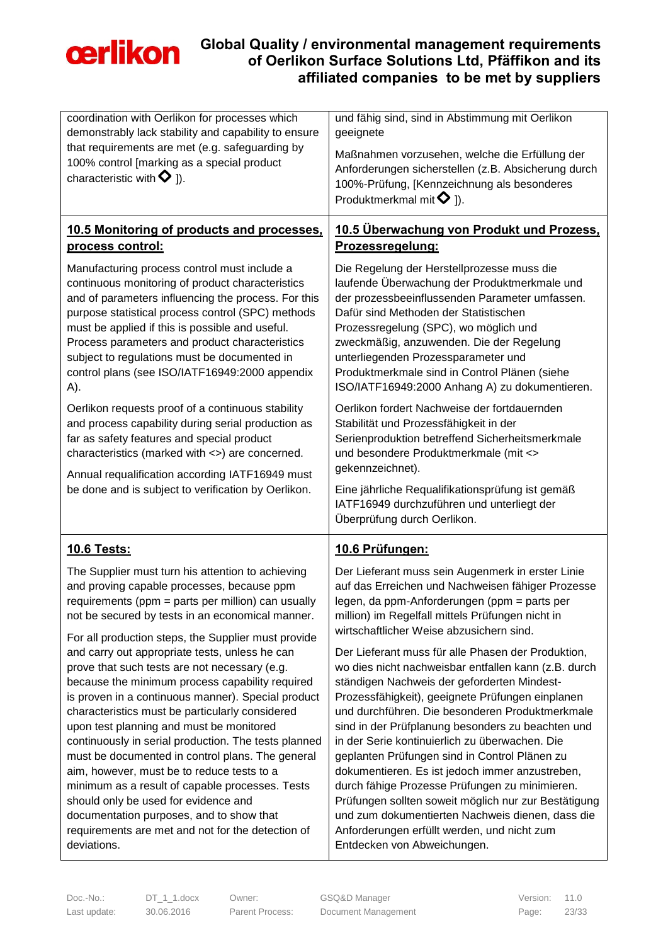

| coordination with Oerlikon for processes which<br>demonstrably lack stability and capability to ensure                                                                                                                                                                                                                                                                                                                                                                                                                                                                                                                                                                       | und fähig sind, sind in Abstimmung mit Oerlikon<br>geeignete                                                                                                                                                                                                                                                                                                                                                                                                                                                                                                                                                                                                                                                            |  |
|------------------------------------------------------------------------------------------------------------------------------------------------------------------------------------------------------------------------------------------------------------------------------------------------------------------------------------------------------------------------------------------------------------------------------------------------------------------------------------------------------------------------------------------------------------------------------------------------------------------------------------------------------------------------------|-------------------------------------------------------------------------------------------------------------------------------------------------------------------------------------------------------------------------------------------------------------------------------------------------------------------------------------------------------------------------------------------------------------------------------------------------------------------------------------------------------------------------------------------------------------------------------------------------------------------------------------------------------------------------------------------------------------------------|--|
| that requirements are met (e.g. safeguarding by<br>100% control [marking as a special product                                                                                                                                                                                                                                                                                                                                                                                                                                                                                                                                                                                | Maßnahmen vorzusehen, welche die Erfüllung der                                                                                                                                                                                                                                                                                                                                                                                                                                                                                                                                                                                                                                                                          |  |
| characteristic with $\bf{Q}$ ]).                                                                                                                                                                                                                                                                                                                                                                                                                                                                                                                                                                                                                                             | Anforderungen sicherstellen (z.B. Absicherung durch                                                                                                                                                                                                                                                                                                                                                                                                                                                                                                                                                                                                                                                                     |  |
|                                                                                                                                                                                                                                                                                                                                                                                                                                                                                                                                                                                                                                                                              | 100%-Prüfung, [Kennzeichnung als besonderes<br>Produktmerkmal mit $\bullet$ 1).                                                                                                                                                                                                                                                                                                                                                                                                                                                                                                                                                                                                                                         |  |
| 10.5 Monitoring of products and processes,                                                                                                                                                                                                                                                                                                                                                                                                                                                                                                                                                                                                                                   | <u>10.5 Überwachung von Produkt und Prozess,</u>                                                                                                                                                                                                                                                                                                                                                                                                                                                                                                                                                                                                                                                                        |  |
| process control:                                                                                                                                                                                                                                                                                                                                                                                                                                                                                                                                                                                                                                                             | Prozessregelung:                                                                                                                                                                                                                                                                                                                                                                                                                                                                                                                                                                                                                                                                                                        |  |
| Manufacturing process control must include a<br>continuous monitoring of product characteristics<br>and of parameters influencing the process. For this<br>purpose statistical process control (SPC) methods<br>must be applied if this is possible and useful.<br>Process parameters and product characteristics<br>subject to regulations must be documented in<br>control plans (see ISO/IATF16949:2000 appendix<br>A).                                                                                                                                                                                                                                                   | Die Regelung der Herstellprozesse muss die<br>laufende Überwachung der Produktmerkmale und<br>der prozessbeeinflussenden Parameter umfassen.<br>Dafür sind Methoden der Statistischen<br>Prozessregelung (SPC), wo möglich und<br>zweckmäßig, anzuwenden. Die der Regelung<br>unterliegenden Prozessparameter und<br>Produktmerkmale sind in Control Plänen (siehe<br>ISO/IATF16949:2000 Anhang A) zu dokumentieren.                                                                                                                                                                                                                                                                                                    |  |
| Oerlikon requests proof of a continuous stability<br>and process capability during serial production as<br>far as safety features and special product<br>characteristics (marked with <>) are concerned.<br>Annual requalification according IATF16949 must<br>be done and is subject to verification by Oerlikon.                                                                                                                                                                                                                                                                                                                                                           | Oerlikon fordert Nachweise der fortdauernden<br>Stabilität und Prozessfähigkeit in der<br>Serienproduktion betreffend Sicherheitsmerkmale<br>und besondere Produktmerkmale (mit <><br>gekennzeichnet).<br>Eine jährliche Requalifikationsprüfung ist gemäß<br>IATF16949 durchzuführen und unterliegt der<br>Überprüfung durch Oerlikon.                                                                                                                                                                                                                                                                                                                                                                                 |  |
| <u>10.6 Tests:</u>                                                                                                                                                                                                                                                                                                                                                                                                                                                                                                                                                                                                                                                           | 10.6 Prüfungen:                                                                                                                                                                                                                                                                                                                                                                                                                                                                                                                                                                                                                                                                                                         |  |
| The Supplier must turn his attention to achieving<br>and proving capable processes, because ppm<br>requirements (ppm = parts per million) can usually<br>not be secured by tests in an economical manner.<br>For all production steps, the Supplier must provide                                                                                                                                                                                                                                                                                                                                                                                                             | Der Lieferant muss sein Augenmerk in erster Linie<br>auf das Erreichen und Nachweisen fähiger Prozesse<br>legen, da ppm-Anforderungen (ppm = parts per<br>million) im Regelfall mittels Prüfungen nicht in<br>wirtschaftlicher Weise abzusichern sind.                                                                                                                                                                                                                                                                                                                                                                                                                                                                  |  |
| and carry out appropriate tests, unless he can<br>prove that such tests are not necessary (e.g.<br>because the minimum process capability required<br>is proven in a continuous manner). Special product<br>characteristics must be particularly considered<br>upon test planning and must be monitored<br>continuously in serial production. The tests planned<br>must be documented in control plans. The general<br>aim, however, must be to reduce tests to a<br>minimum as a result of capable processes. Tests<br>should only be used for evidence and<br>documentation purposes, and to show that<br>requirements are met and not for the detection of<br>deviations. | Der Lieferant muss für alle Phasen der Produktion,<br>wo dies nicht nachweisbar entfallen kann (z.B. durch<br>ständigen Nachweis der geforderten Mindest-<br>Prozessfähigkeit), geeignete Prüfungen einplanen<br>und durchführen. Die besonderen Produktmerkmale<br>sind in der Prüfplanung besonders zu beachten und<br>in der Serie kontinuierlich zu überwachen. Die<br>geplanten Prüfungen sind in Control Plänen zu<br>dokumentieren. Es ist jedoch immer anzustreben,<br>durch fähige Prozesse Prüfungen zu minimieren.<br>Prüfungen sollten soweit möglich nur zur Bestätigung<br>und zum dokumentierten Nachweis dienen, dass die<br>Anforderungen erfüllt werden, und nicht zum<br>Entdecken von Abweichungen. |  |

Doc.-No.: DT\_1\_1.docx Owner: GSQ&D Manager Version: 11.0 Last update: 30.06.2016 Parent Process: Document Management Page: 23/33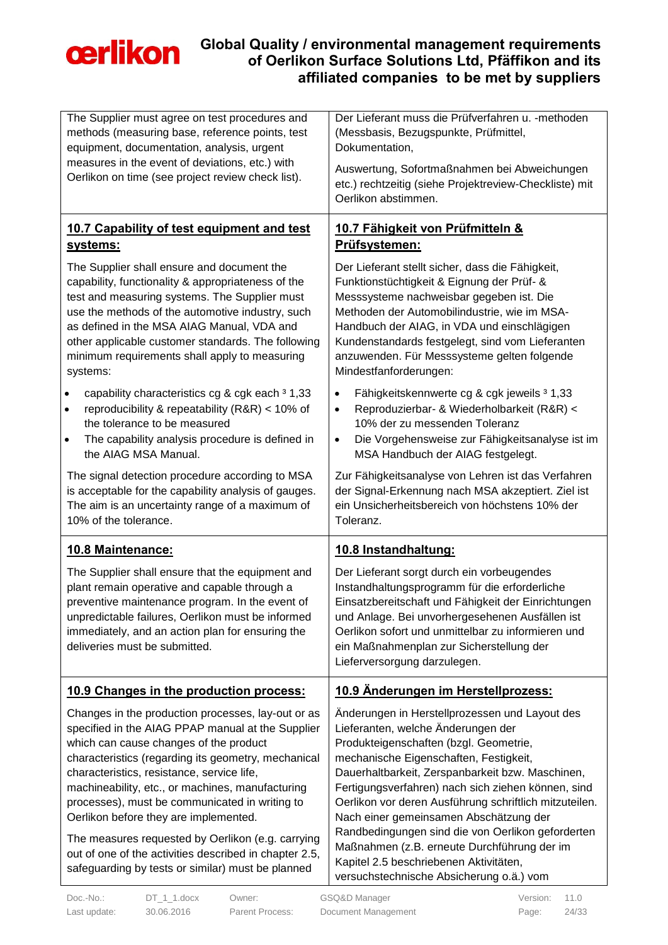

| The Supplier must agree on test procedures and<br>methods (measuring base, reference points, test<br>equipment, documentation, analysis, urgent<br>measures in the event of deviations, etc.) with<br>Oerlikon on time (see project review check list).                                                                                                                                                                                                                                                                                                                   | Der Lieferant muss die Prüfverfahren u. - methoden<br>(Messbasis, Bezugspunkte, Prüfmittel,<br>Dokumentation,<br>Auswertung, Sofortmaßnahmen bei Abweichungen<br>etc.) rechtzeitig (siehe Projektreview-Checkliste) mit<br>Oerlikon abstimmen.                                                                                                                                                                                                                                                                                                                                   |
|---------------------------------------------------------------------------------------------------------------------------------------------------------------------------------------------------------------------------------------------------------------------------------------------------------------------------------------------------------------------------------------------------------------------------------------------------------------------------------------------------------------------------------------------------------------------------|----------------------------------------------------------------------------------------------------------------------------------------------------------------------------------------------------------------------------------------------------------------------------------------------------------------------------------------------------------------------------------------------------------------------------------------------------------------------------------------------------------------------------------------------------------------------------------|
| 10.7 Capability of test equipment and test<br>systems:                                                                                                                                                                                                                                                                                                                                                                                                                                                                                                                    | 10.7 Fähigkeit von Prüfmitteln &<br>Prüfsystemen:                                                                                                                                                                                                                                                                                                                                                                                                                                                                                                                                |
| The Supplier shall ensure and document the<br>capability, functionality & appropriateness of the<br>test and measuring systems. The Supplier must<br>use the methods of the automotive industry, such<br>as defined in the MSA AIAG Manual, VDA and<br>other applicable customer standards. The following<br>minimum requirements shall apply to measuring<br>systems:                                                                                                                                                                                                    | Der Lieferant stellt sicher, dass die Fähigkeit,<br>Funktionstüchtigkeit & Eignung der Prüf- &<br>Messsysteme nachweisbar gegeben ist. Die<br>Methoden der Automobilindustrie, wie im MSA-<br>Handbuch der AIAG, in VDA und einschlägigen<br>Kundenstandards festgelegt, sind vom Lieferanten<br>anzuwenden. Für Messsysteme gelten folgende<br>Mindestfanforderungen:                                                                                                                                                                                                           |
| capability characteristics cg & cgk each 3 1,33<br>$\bullet$<br>reproducibility & repeatability (R&R) < 10% of<br>$\bullet$<br>the tolerance to be measured<br>The capability analysis procedure is defined in<br>$\bullet$<br>the AIAG MSA Manual.                                                                                                                                                                                                                                                                                                                       | Fähigkeitskennwerte cg & cgk jeweils 3 1,33<br>$\bullet$<br>Reproduzierbar- & Wiederholbarkeit (R&R) <<br>$\bullet$<br>10% der zu messenden Toleranz<br>Die Vorgehensweise zur Fähigkeitsanalyse ist im<br>$\bullet$<br>MSA Handbuch der AIAG festgelegt.                                                                                                                                                                                                                                                                                                                        |
| The signal detection procedure according to MSA                                                                                                                                                                                                                                                                                                                                                                                                                                                                                                                           | Zur Fähigkeitsanalyse von Lehren ist das Verfahren                                                                                                                                                                                                                                                                                                                                                                                                                                                                                                                               |
| is acceptable for the capability analysis of gauges.<br>The aim is an uncertainty range of a maximum of<br>10% of the tolerance.                                                                                                                                                                                                                                                                                                                                                                                                                                          | der Signal-Erkennung nach MSA akzeptiert. Ziel ist<br>ein Unsicherheitsbereich von höchstens 10% der<br>Toleranz.                                                                                                                                                                                                                                                                                                                                                                                                                                                                |
| 10.8 Maintenance:                                                                                                                                                                                                                                                                                                                                                                                                                                                                                                                                                         | 10.8 Instandhaltung:                                                                                                                                                                                                                                                                                                                                                                                                                                                                                                                                                             |
| The Supplier shall ensure that the equipment and<br>plant remain operative and capable through a<br>preventive maintenance program. In the event of<br>unpredictable failures, Oerlikon must be informed<br>immediately, and an action plan for ensuring the<br>deliveries must be submitted.                                                                                                                                                                                                                                                                             | Der Lieferant sorgt durch ein vorbeugendes<br>Instandhaltungsprogramm für die erforderliche<br>Einsatzbereitschaft und Fähigkeit der Einrichtungen<br>und Anlage. Bei unvorhergesehenen Ausfällen ist<br>Oerlikon sofort und unmittelbar zu informieren und<br>ein Maßnahmenplan zur Sicherstellung der<br>Lieferversorgung darzulegen.                                                                                                                                                                                                                                          |
| 10.9 Changes in the production process:                                                                                                                                                                                                                                                                                                                                                                                                                                                                                                                                   | 10.9 Änderungen im Herstellprozess:                                                                                                                                                                                                                                                                                                                                                                                                                                                                                                                                              |
| Changes in the production processes, lay-out or as<br>specified in the AIAG PPAP manual at the Supplier<br>which can cause changes of the product<br>characteristics (regarding its geometry, mechanical<br>characteristics, resistance, service life,<br>machineability, etc., or machines, manufacturing<br>processes), must be communicated in writing to<br>Oerlikon before they are implemented.<br>The measures requested by Oerlikon (e.g. carrying<br>out of one of the activities described in chapter 2.5,<br>safeguarding by tests or similar) must be planned | Änderungen in Herstellprozessen und Layout des<br>Lieferanten, welche Änderungen der<br>Produkteigenschaften (bzgl. Geometrie,<br>mechanische Eigenschaften, Festigkeit,<br>Dauerhaltbarkeit, Zerspanbarkeit bzw. Maschinen,<br>Fertigungsverfahren) nach sich ziehen können, sind<br>Oerlikon vor deren Ausführung schriftlich mitzuteilen.<br>Nach einer gemeinsamen Abschätzung der<br>Randbedingungen sind die von Oerlikon geforderten<br>Maßnahmen (z.B. erneute Durchführung der im<br>Kapitel 2.5 beschriebenen Aktivitäten,<br>versuchstechnische Absicherung o.ä.) vom |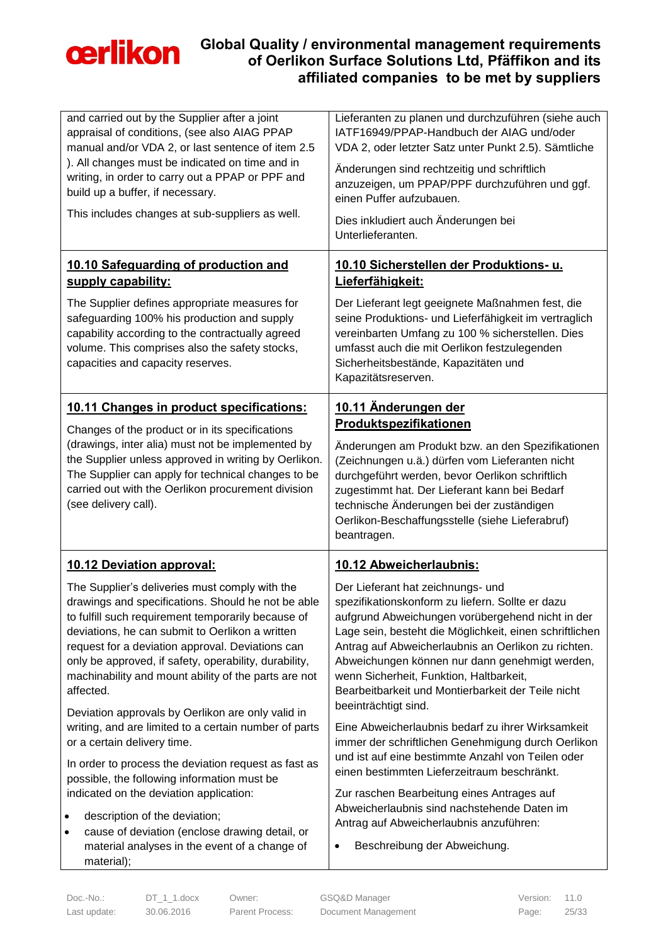

| and carried out by the Supplier after a joint<br>appraisal of conditions, (see also AIAG PPAP<br>manual and/or VDA 2, or last sentence of item 2.5<br>). All changes must be indicated on time and in<br>writing, in order to carry out a PPAP or PPF and<br>build up a buffer, if necessary.<br>This includes changes at sub-suppliers as well.                                                | Lieferanten zu planen und durchzuführen (siehe auch<br>IATF16949/PPAP-Handbuch der AIAG und/oder<br>VDA 2, oder letzter Satz unter Punkt 2.5). Sämtliche<br>Änderungen sind rechtzeitig und schriftlich<br>anzuzeigen, um PPAP/PPF durchzuführen und ggf.<br>einen Puffer aufzubauen.<br>Dies inkludiert auch Änderungen bei<br>Unterlieferanten.                                                                                      |
|-------------------------------------------------------------------------------------------------------------------------------------------------------------------------------------------------------------------------------------------------------------------------------------------------------------------------------------------------------------------------------------------------|----------------------------------------------------------------------------------------------------------------------------------------------------------------------------------------------------------------------------------------------------------------------------------------------------------------------------------------------------------------------------------------------------------------------------------------|
| 10.10 Safeguarding of production and<br>supply capability:                                                                                                                                                                                                                                                                                                                                      | 10.10 Sicherstellen der Produktions- u.<br>Lieferfähigkeit:                                                                                                                                                                                                                                                                                                                                                                            |
| The Supplier defines appropriate measures for<br>safeguarding 100% his production and supply<br>capability according to the contractually agreed<br>volume. This comprises also the safety stocks,<br>capacities and capacity reserves.                                                                                                                                                         | Der Lieferant legt geeignete Maßnahmen fest, die<br>seine Produktions- und Lieferfähigkeit im vertraglich<br>vereinbarten Umfang zu 100 % sicherstellen. Dies<br>umfasst auch die mit Oerlikon festzulegenden<br>Sicherheitsbestände, Kapazitäten und<br>Kapazitätsreserven.                                                                                                                                                           |
| 10.11 Changes in product specifications:                                                                                                                                                                                                                                                                                                                                                        | 10.11 Änderungen der<br>Produktspezifikationen                                                                                                                                                                                                                                                                                                                                                                                         |
| Changes of the product or in its specifications<br>(drawings, inter alia) must not be implemented by<br>the Supplier unless approved in writing by Oerlikon.<br>The Supplier can apply for technical changes to be<br>carried out with the Oerlikon procurement division<br>(see delivery call).                                                                                                | Änderungen am Produkt bzw. an den Spezifikationen<br>(Zeichnungen u.ä.) dürfen vom Lieferanten nicht<br>durchgeführt werden, bevor Oerlikon schriftlich<br>zugestimmt hat. Der Lieferant kann bei Bedarf<br>technische Änderungen bei der zuständigen                                                                                                                                                                                  |
|                                                                                                                                                                                                                                                                                                                                                                                                 | Oerlikon-Beschaffungsstelle (siehe Lieferabruf)<br>beantragen.                                                                                                                                                                                                                                                                                                                                                                         |
| 10.12 Deviation approval:                                                                                                                                                                                                                                                                                                                                                                       | 10.12 Abweicherlaubnis:                                                                                                                                                                                                                                                                                                                                                                                                                |
| The Supplier's deliveries must comply with the<br>drawings and specifications. Should he not be able<br>to fulfill such requirement temporarily because of<br>deviations, he can submit to Oerlikon a written<br>request for a deviation approval. Deviations can<br>only be approved, if safety, operability, durability,<br>machinability and mount ability of the parts are not<br>affected. | Der Lieferant hat zeichnungs- und<br>spezifikationskonform zu liefern. Sollte er dazu<br>aufgrund Abweichungen vorübergehend nicht in der<br>Lage sein, besteht die Möglichkeit, einen schriftlichen<br>Antrag auf Abweicherlaubnis an Oerlikon zu richten.<br>Abweichungen können nur dann genehmigt werden,<br>wenn Sicherheit, Funktion, Haltbarkeit,<br>Bearbeitbarkeit und Montierbarkeit der Teile nicht<br>beeinträchtigt sind. |
| Deviation approvals by Oerlikon are only valid in<br>writing, and are limited to a certain number of parts<br>or a certain delivery time.                                                                                                                                                                                                                                                       | Eine Abweicherlaubnis bedarf zu ihrer Wirksamkeit<br>immer der schriftlichen Genehmigung durch Oerlikon                                                                                                                                                                                                                                                                                                                                |
| In order to process the deviation request as fast as<br>possible, the following information must be                                                                                                                                                                                                                                                                                             | und ist auf eine bestimmte Anzahl von Teilen oder<br>einen bestimmten Lieferzeitraum beschränkt.                                                                                                                                                                                                                                                                                                                                       |
| indicated on the deviation application:<br>description of the deviation;<br>$\bullet$<br>cause of deviation (enclose drawing detail, or<br>$\bullet$<br>material analyses in the event of a change of<br>material);                                                                                                                                                                             | Zur raschen Bearbeitung eines Antrages auf<br>Abweicherlaubnis sind nachstehende Daten im<br>Antrag auf Abweicherlaubnis anzuführen:<br>Beschreibung der Abweichung.<br>٠                                                                                                                                                                                                                                                              |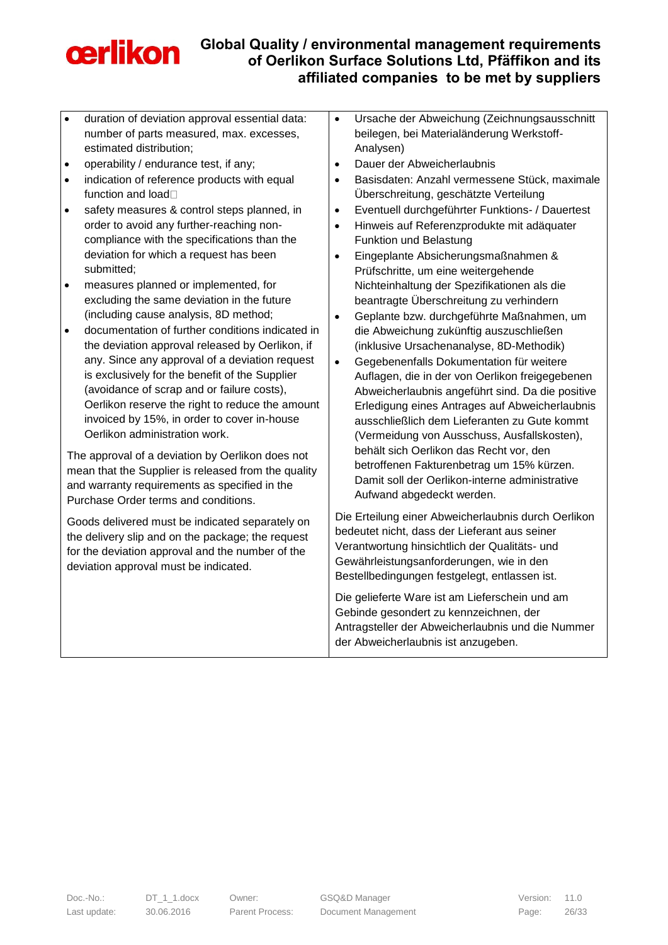

- duration of deviation approval essential data: number of parts measured, max. excesses, estimated distribution;
- operability / endurance test, if any;
- indication of reference products with equal function and load<sup>[]</sup>
- safety measures & control steps planned, in order to avoid any further-reaching noncompliance with the specifications than the deviation for which a request has been submitted;
- measures planned or implemented, for excluding the same deviation in the future (including cause analysis, 8D method;
- documentation of further conditions indicated in the deviation approval released by Oerlikon, if any. Since any approval of a deviation request is exclusively for the benefit of the Supplier (avoidance of scrap and or failure costs), Oerlikon reserve the right to reduce the amount invoiced by 15%, in order to cover in-house Oerlikon administration work.

The approval of a deviation by Oerlikon does not mean that the Supplier is released from the quality and warranty requirements as specified in the Purchase Order terms and conditions.

Goods delivered must be indicated separately on the delivery slip and on the package; the request for the deviation approval and the number of the deviation approval must be indicated.

- Ursache der Abweichung (Zeichnungsausschnitt beilegen, bei Materialänderung Werkstoff-Analysen)
- Dauer der Abweicherlaubnis
- Basisdaten: Anzahl vermessene Stück, maximale Überschreitung, geschätzte Verteilung
- Eventuell durchgeführter Funktions- / Dauertest
- Hinweis auf Referenzprodukte mit adäquater Funktion und Belastung
- Eingeplante Absicherungsmaßnahmen & Prüfschritte, um eine weitergehende Nichteinhaltung der Spezifikationen als die beantragte Überschreitung zu verhindern
- Geplante bzw. durchgeführte Maßnahmen, um die Abweichung zukünftig auszuschließen (inklusive Ursachenanalyse, 8D-Methodik)
- Gegebenenfalls Dokumentation für weitere Auflagen, die in der von Oerlikon freigegebenen Abweicherlaubnis angeführt sind. Da die positive Erledigung eines Antrages auf Abweicherlaubnis ausschließlich dem Lieferanten zu Gute kommt (Vermeidung von Ausschuss, Ausfallskosten), behält sich Oerlikon das Recht vor, den betroffenen Fakturenbetrag um 15% kürzen. Damit soll der Oerlikon-interne administrative Aufwand abgedeckt werden.

Die Erteilung einer Abweicherlaubnis durch Oerlikon bedeutet nicht, dass der Lieferant aus seiner Verantwortung hinsichtlich der Qualitäts- und Gewährleistungsanforderungen, wie in den Bestellbedingungen festgelegt, entlassen ist.

Die gelieferte Ware ist am Lieferschein und am Gebinde gesondert zu kennzeichnen, der Antragsteller der Abweicherlaubnis und die Nummer der Abweicherlaubnis ist anzugeben.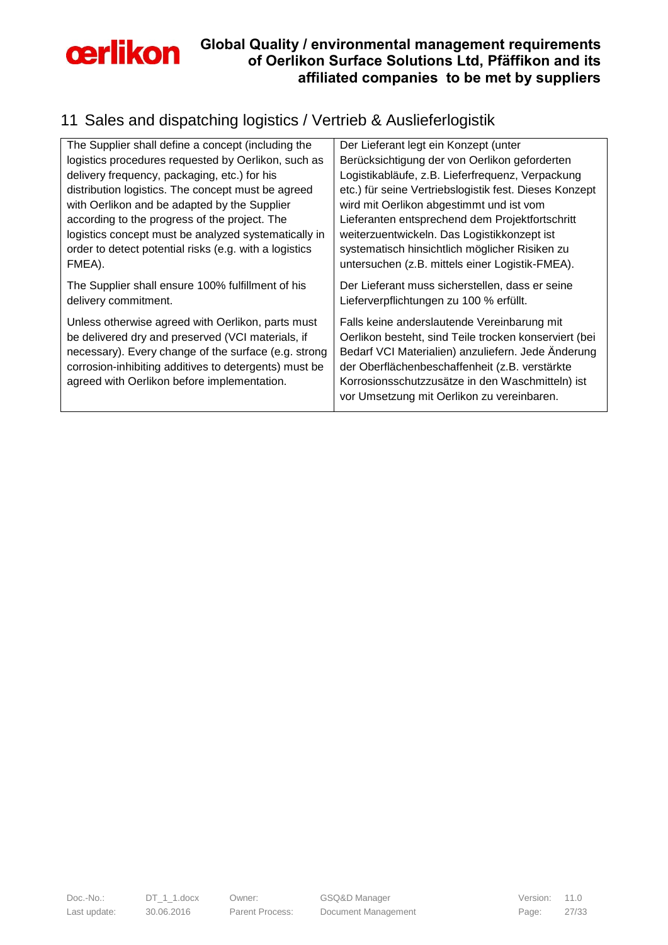

# <span id="page-26-0"></span>11 Sales and dispatching logistics / Vertrieb & Auslieferlogistik

| The Supplier shall define a concept (including the     | Der Lieferant legt ein Konzept (unter                  |
|--------------------------------------------------------|--------------------------------------------------------|
| logistics procedures requested by Oerlikon, such as    | Berücksichtigung der von Oerlikon geforderten          |
| delivery frequency, packaging, etc.) for his           | Logistikabläufe, z.B. Lieferfrequenz, Verpackung       |
| distribution logistics. The concept must be agreed     | etc.) für seine Vertriebslogistik fest. Dieses Konzept |
| with Oerlikon and be adapted by the Supplier           | wird mit Oerlikon abgestimmt und ist vom               |
| according to the progress of the project. The          | Lieferanten entsprechend dem Projektfortschritt        |
| logistics concept must be analyzed systematically in   | weiterzuentwickeln. Das Logistikkonzept ist            |
| order to detect potential risks (e.g. with a logistics | systematisch hinsichtlich möglicher Risiken zu         |
| FMEA).                                                 | untersuchen (z.B. mittels einer Logistik-FMEA).        |
| The Supplier shall ensure 100% fulfillment of his      | Der Lieferant muss sicherstellen, dass er seine        |
| delivery commitment.                                   | Lieferverpflichtungen zu 100 % erfüllt.                |
| Unless otherwise agreed with Oerlikon, parts must      | Falls keine anderslautende Vereinbarung mit            |
| be delivered dry and preserved (VCI materials, if      | Oerlikon besteht, sind Teile trocken konserviert (bei  |
| necessary). Every change of the surface (e.g. strong   | Bedarf VCI Materialien) anzuliefern. Jede Änderung     |
| corrosion-inhibiting additives to detergents) must be  | der Oberflächenbeschaffenheit (z.B. verstärkte         |
| agreed with Oerlikon before implementation.            | Korrosionsschutzzusätze in den Waschmitteln) ist       |
|                                                        | vor Umsetzung mit Oerlikon zu vereinbaren.             |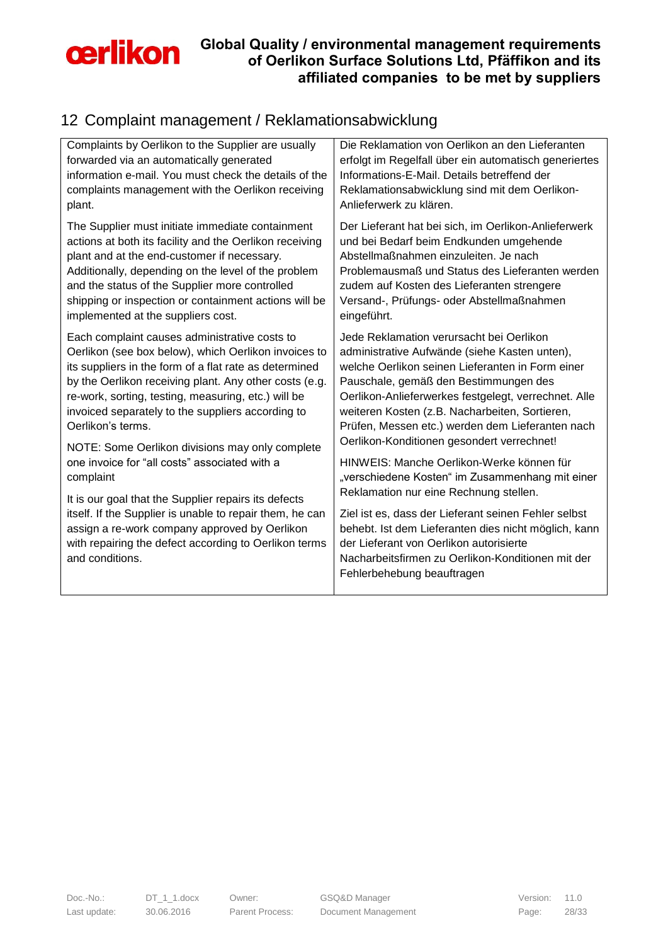

# <span id="page-27-0"></span>12 Complaint management / Reklamationsabwicklung

| Complaints by Oerlikon to the Supplier are usually                                                                                                                                    | Die Reklamation von Oerlikon an den Lieferanten                                                                                                                                                                                            |
|---------------------------------------------------------------------------------------------------------------------------------------------------------------------------------------|--------------------------------------------------------------------------------------------------------------------------------------------------------------------------------------------------------------------------------------------|
| forwarded via an automatically generated                                                                                                                                              | erfolgt im Regelfall über ein automatisch generiertes                                                                                                                                                                                      |
| information e-mail. You must check the details of the                                                                                                                                 | Informations-E-Mail. Details betreffend der                                                                                                                                                                                                |
| complaints management with the Oerlikon receiving                                                                                                                                     | Reklamationsabwicklung sind mit dem Oerlikon-                                                                                                                                                                                              |
| plant.                                                                                                                                                                                | Anlieferwerk zu klären.                                                                                                                                                                                                                    |
| The Supplier must initiate immediate containment                                                                                                                                      | Der Lieferant hat bei sich, im Oerlikon-Anlieferwerk                                                                                                                                                                                       |
| actions at both its facility and the Oerlikon receiving                                                                                                                               | und bei Bedarf beim Endkunden umgehende                                                                                                                                                                                                    |
| plant and at the end-customer if necessary.                                                                                                                                           | Abstellmaßnahmen einzuleiten. Je nach                                                                                                                                                                                                      |
| Additionally, depending on the level of the problem                                                                                                                                   | Problemausmaß und Status des Lieferanten werden                                                                                                                                                                                            |
| and the status of the Supplier more controlled                                                                                                                                        | zudem auf Kosten des Lieferanten strengere                                                                                                                                                                                                 |
| shipping or inspection or containment actions will be                                                                                                                                 | Versand-, Prüfungs- oder Abstellmaßnahmen                                                                                                                                                                                                  |
| implemented at the suppliers cost.                                                                                                                                                    | eingeführt.                                                                                                                                                                                                                                |
| Each complaint causes administrative costs to                                                                                                                                         | Jede Reklamation verursacht bei Oerlikon                                                                                                                                                                                                   |
| Oerlikon (see box below), which Oerlikon invoices to                                                                                                                                  | administrative Aufwände (siehe Kasten unten),                                                                                                                                                                                              |
| its suppliers in the form of a flat rate as determined                                                                                                                                | welche Oerlikon seinen Lieferanten in Form einer                                                                                                                                                                                           |
| by the Oerlikon receiving plant. Any other costs (e.g.                                                                                                                                | Pauschale, gemäß den Bestimmungen des                                                                                                                                                                                                      |
| re-work, sorting, testing, measuring, etc.) will be                                                                                                                                   | Oerlikon-Anlieferwerkes festgelegt, verrechnet. Alle                                                                                                                                                                                       |
| invoiced separately to the suppliers according to                                                                                                                                     | weiteren Kosten (z.B. Nacharbeiten, Sortieren,                                                                                                                                                                                             |
| Oerlikon's terms.                                                                                                                                                                     | Prüfen, Messen etc.) werden dem Lieferanten nach                                                                                                                                                                                           |
| NOTE: Some Oerlikon divisions may only complete                                                                                                                                       | Oerlikon-Konditionen gesondert verrechnet!                                                                                                                                                                                                 |
| one invoice for "all costs" associated with a                                                                                                                                         | HINWEIS: Manche Oerlikon-Werke können für                                                                                                                                                                                                  |
| complaint                                                                                                                                                                             | "verschiedene Kosten" im Zusammenhang mit einer                                                                                                                                                                                            |
| It is our goal that the Supplier repairs its defects                                                                                                                                  | Reklamation nur eine Rechnung stellen.                                                                                                                                                                                                     |
| itself. If the Supplier is unable to repair them, he can<br>assign a re-work company approved by Oerlikon<br>with repairing the defect according to Oerlikon terms<br>and conditions. | Ziel ist es, dass der Lieferant seinen Fehler selbst<br>behebt. Ist dem Lieferanten dies nicht möglich, kann<br>der Lieferant von Oerlikon autorisierte<br>Nacharbeitsfirmen zu Oerlikon-Konditionen mit der<br>Fehlerbehebung beauftragen |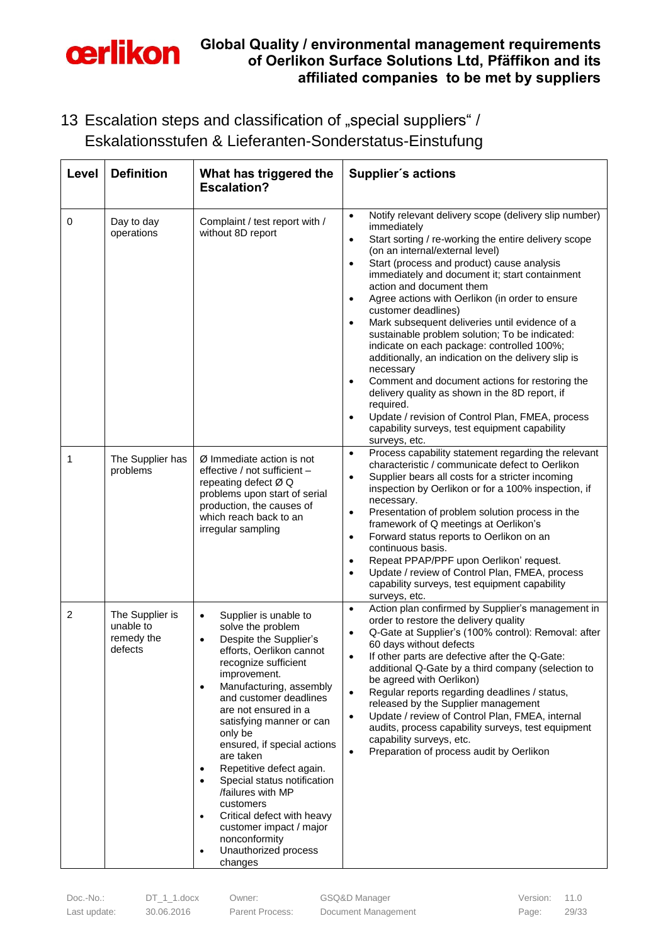

<span id="page-28-0"></span>13 Escalation steps and classification of "special suppliers" / Eskalationsstufen & Lieferanten-Sonderstatus-Einstufung

| Level          | <b>Definition</b>                                     | What has triggered the<br><b>Escalation?</b>                                                                                                                                                                                                                                                                                                                                                                                                                                                                                                                                                          | Supplier's actions                                                                                                                                                                                                                                                                                                                                                                                                                                                                                                                                                                                                                                                                                                                                                                                                                                                                                                            |
|----------------|-------------------------------------------------------|-------------------------------------------------------------------------------------------------------------------------------------------------------------------------------------------------------------------------------------------------------------------------------------------------------------------------------------------------------------------------------------------------------------------------------------------------------------------------------------------------------------------------------------------------------------------------------------------------------|-------------------------------------------------------------------------------------------------------------------------------------------------------------------------------------------------------------------------------------------------------------------------------------------------------------------------------------------------------------------------------------------------------------------------------------------------------------------------------------------------------------------------------------------------------------------------------------------------------------------------------------------------------------------------------------------------------------------------------------------------------------------------------------------------------------------------------------------------------------------------------------------------------------------------------|
| 0              | Day to day<br>operations                              | Complaint / test report with /<br>without 8D report                                                                                                                                                                                                                                                                                                                                                                                                                                                                                                                                                   | Notify relevant delivery scope (delivery slip number)<br>$\bullet$<br>immediately<br>Start sorting / re-working the entire delivery scope<br>$\bullet$<br>(on an internal/external level)<br>Start (process and product) cause analysis<br>$\bullet$<br>immediately and document it; start containment<br>action and document them<br>Agree actions with Oerlikon (in order to ensure<br>$\bullet$<br>customer deadlines)<br>Mark subsequent deliveries until evidence of a<br>$\bullet$<br>sustainable problem solution; To be indicated:<br>indicate on each package: controlled 100%;<br>additionally, an indication on the delivery slip is<br>necessary<br>Comment and document actions for restoring the<br>$\bullet$<br>delivery quality as shown in the 8D report, if<br>required.<br>Update / revision of Control Plan, FMEA, process<br>$\bullet$<br>capability surveys, test equipment capability<br>surveys, etc. |
| 1              | The Supplier has<br>problems                          | Ø Immediate action is not<br>effective / not sufficient -<br>repeating defect Ø Q<br>problems upon start of serial<br>production, the causes of<br>which reach back to an<br>irregular sampling                                                                                                                                                                                                                                                                                                                                                                                                       | Process capability statement regarding the relevant<br>$\bullet$<br>characteristic / communicate defect to Oerlikon<br>Supplier bears all costs for a stricter incoming<br>$\bullet$<br>inspection by Oerlikon or for a 100% inspection, if<br>necessary.<br>Presentation of problem solution process in the<br>$\bullet$<br>framework of Q meetings at Oerlikon's<br>Forward status reports to Oerlikon on an<br>$\bullet$<br>continuous basis.<br>Repeat PPAP/PPF upon Oerlikon' request.<br>$\bullet$<br>Update / review of Control Plan, FMEA, process<br>$\bullet$<br>capability surveys, test equipment capability<br>surveys, etc.                                                                                                                                                                                                                                                                                     |
| $\overline{2}$ | The Supplier is<br>unable to<br>remedy the<br>defects | Supplier is unable to<br>$\bullet$<br>solve the problem<br>Despite the Supplier's<br>$\bullet$<br>efforts, Oerlikon cannot<br>recognize sufficient<br>improvement.<br>Manufacturing, assembly<br>$\bullet$<br>and customer deadlines<br>are not ensured in a<br>satisfying manner or can<br>only be<br>ensured, if special actions<br>are taken<br>Repetitive defect again.<br>$\bullet$<br>Special status notification<br>٠<br>/failures with MP<br>customers<br>Critical defect with heavy<br>$\bullet$<br>customer impact / major<br>nonconformity<br>Unauthorized process<br>$\bullet$<br>changes | Action plan confirmed by Supplier's management in<br>$\bullet$<br>order to restore the delivery quality<br>Q-Gate at Supplier's (100% control): Removal: after<br>$\bullet$<br>60 days without defects<br>If other parts are defective after the Q-Gate:<br>$\bullet$<br>additional Q-Gate by a third company (selection to<br>be agreed with Oerlikon)<br>Regular reports regarding deadlines / status,<br>$\bullet$<br>released by the Supplier management<br>Update / review of Control Plan, FMEA, internal<br>$\bullet$<br>audits, process capability surveys, test equipment<br>capability surveys, etc.<br>Preparation of process audit by Oerlikon<br>$\bullet$                                                                                                                                                                                                                                                       |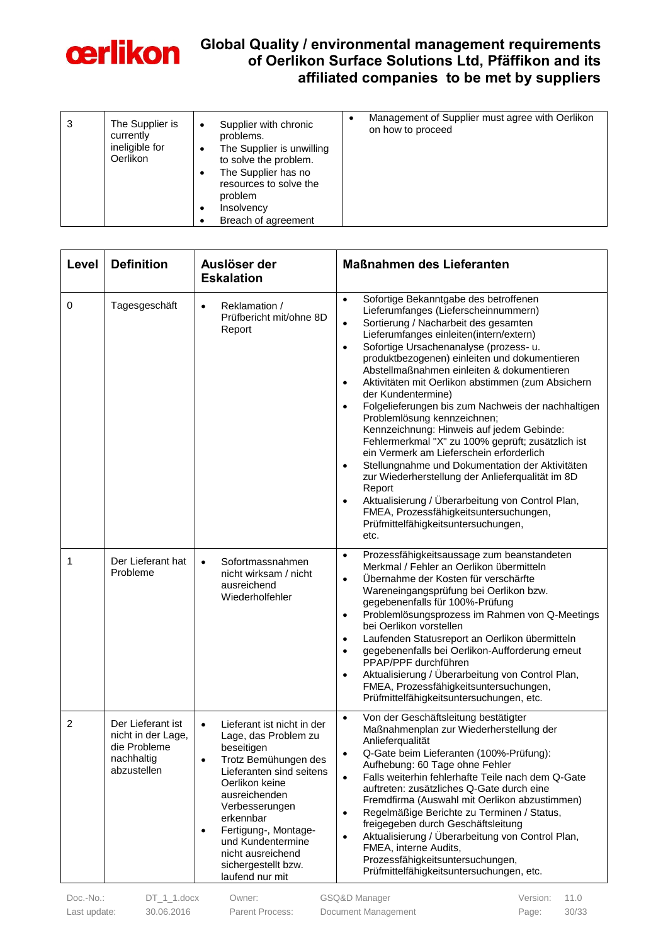

| 3 | The Supplier is<br>currently<br>ineligible for<br><b>Oerlikon</b> | Supplier with chronic<br>$\bullet$<br>problems.<br>The Supplier is unwilling<br>$\bullet$<br>to solve the problem.<br>The Supplier has no<br>$\bullet$<br>resources to solve the<br>problem<br>Insolvency<br>Breach of agreement | Management of Supplier must agree with Oerlikon<br>on how to proceed |
|---|-------------------------------------------------------------------|----------------------------------------------------------------------------------------------------------------------------------------------------------------------------------------------------------------------------------|----------------------------------------------------------------------|
|---|-------------------------------------------------------------------|----------------------------------------------------------------------------------------------------------------------------------------------------------------------------------------------------------------------------------|----------------------------------------------------------------------|

| Level          | <b>Definition</b>                                                                    | Auslöser der<br><b>Eskalation</b>                                                                                                                                                                                                                                                                                                         | <b>Maßnahmen des Lieferanten</b>                                                                                                                                                                                                                                                                                                                                                                                                                                                                                                                                                                                                                                                                                                                                                                                                                                                                                                                                                 |
|----------------|--------------------------------------------------------------------------------------|-------------------------------------------------------------------------------------------------------------------------------------------------------------------------------------------------------------------------------------------------------------------------------------------------------------------------------------------|----------------------------------------------------------------------------------------------------------------------------------------------------------------------------------------------------------------------------------------------------------------------------------------------------------------------------------------------------------------------------------------------------------------------------------------------------------------------------------------------------------------------------------------------------------------------------------------------------------------------------------------------------------------------------------------------------------------------------------------------------------------------------------------------------------------------------------------------------------------------------------------------------------------------------------------------------------------------------------|
| 0              | Tagesgeschäft                                                                        | Reklamation /<br>$\bullet$<br>Prüfbericht mit/ohne 8D<br>Report                                                                                                                                                                                                                                                                           | Sofortige Bekanntgabe des betroffenen<br>$\bullet$<br>Lieferumfanges (Lieferscheinnummern)<br>Sortierung / Nacharbeit des gesamten<br>$\bullet$<br>Lieferumfanges einleiten(intern/extern)<br>Sofortige Ursachenanalyse (prozess- u.<br>$\bullet$<br>produktbezogenen) einleiten und dokumentieren<br>Abstellmaßnahmen einleiten & dokumentieren<br>Aktivitäten mit Oerlikon abstimmen (zum Absichern<br>$\bullet$<br>der Kundentermine)<br>Folgelieferungen bis zum Nachweis der nachhaltigen<br>$\bullet$<br>Problemlösung kennzeichnen;<br>Kennzeichnung: Hinweis auf jedem Gebinde:<br>Fehlermerkmal "X" zu 100% geprüft; zusätzlich ist<br>ein Vermerk am Lieferschein erforderlich<br>Stellungnahme und Dokumentation der Aktivitäten<br>$\bullet$<br>zur Wiederherstellung der Anlieferqualität im 8D<br>Report<br>Aktualisierung / Überarbeitung von Control Plan,<br>$\bullet$<br>FMEA, Prozessfähigkeitsuntersuchungen,<br>Prüfmittelfähigkeitsuntersuchungen,<br>etc. |
| 1              | Der Lieferant hat<br>Probleme                                                        | Sofortmassnahmen<br>$\bullet$<br>nicht wirksam / nicht<br>ausreichend<br>Wiederholfehler                                                                                                                                                                                                                                                  | Prozessfähigkeitsaussage zum beanstandeten<br>$\bullet$<br>Merkmal / Fehler an Oerlikon übermitteln<br>Übernahme der Kosten für verschärfte<br>$\bullet$<br>Wareneingangsprüfung bei Oerlikon bzw.<br>gegebenenfalls für 100%-Prüfung<br>Problemlösungsprozess im Rahmen von Q-Meetings<br>$\bullet$<br>bei Oerlikon vorstellen<br>Laufenden Statusreport an Oerlikon übermitteln<br>$\bullet$<br>gegebenenfalls bei Oerlikon-Aufforderung erneut<br>$\bullet$<br>PPAP/PPF durchführen<br>Aktualisierung / Überarbeitung von Control Plan,<br>$\bullet$<br>FMEA, Prozessfähigkeitsuntersuchungen,<br>Prüfmittelfähigkeitsuntersuchungen, etc.                                                                                                                                                                                                                                                                                                                                    |
| $\overline{c}$ | Der Lieferant ist<br>nicht in der Lage,<br>die Probleme<br>nachhaltig<br>abzustellen | Lieferant ist nicht in der<br>$\bullet$<br>Lage, das Problem zu<br>beseitigen<br>Trotz Bemühungen des<br>$\bullet$<br>Lieferanten sind seitens<br>Oerlikon keine<br>ausreichenden<br>Verbesserungen<br>erkennbar<br>Fertigung-, Montage-<br>$\bullet$<br>und Kundentermine<br>nicht ausreichend<br>sichergestellt bzw.<br>laufend nur mit | Von der Geschäftsleitung bestätigter<br>$\bullet$<br>Maßnahmenplan zur Wiederherstellung der<br>Anlieferqualität<br>Q-Gate beim Lieferanten (100%-Prüfung):<br>Aufhebung: 60 Tage ohne Fehler<br>Falls weiterhin fehlerhafte Teile nach dem Q-Gate<br>$\bullet$<br>auftreten: zusätzliches Q-Gate durch eine<br>Fremdfirma (Auswahl mit Oerlikon abzustimmen)<br>Regelmäßige Berichte zu Terminen / Status,<br>$\bullet$<br>freigegeben durch Geschäftsleitung<br>Aktualisierung / Überarbeitung von Control Plan,<br>$\bullet$<br>FMEA, interne Audits,<br>Prozessfähigkeitsuntersuchungen,<br>Prüfmittelfähigkeitsuntersuchungen, etc.                                                                                                                                                                                                                                                                                                                                         |

Last update: 30.06.2016 Parent Process: Document Management Page: 30/33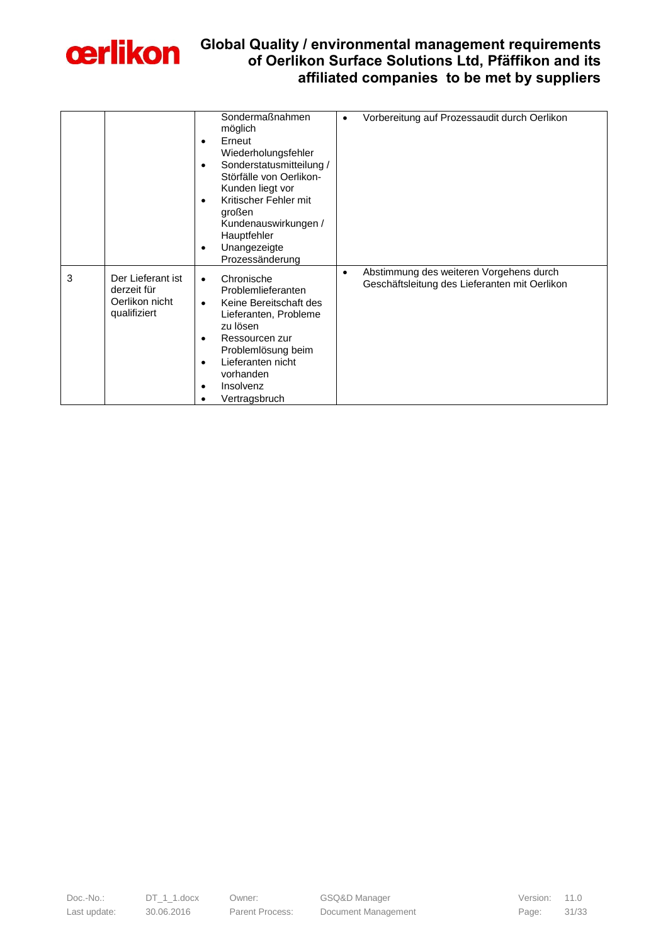

|   |                                                                    | Sondermaßnahmen<br>möglich<br>Erneut<br>$\bullet$<br>Wiederholungsfehler<br>Sonderstatusmitteilung /<br>$\bullet$<br>Störfälle von Oerlikon-<br>Kunden liegt vor<br>Kritischer Fehler mit<br>$\bullet$<br>großen<br>Kundenauswirkungen /<br>Hauptfehler<br>Unangezeigte<br>$\bullet$<br>Prozessänderung | Vorbereitung auf Prozessaudit durch Oerlikon<br>$\bullet$                                             |
|---|--------------------------------------------------------------------|---------------------------------------------------------------------------------------------------------------------------------------------------------------------------------------------------------------------------------------------------------------------------------------------------------|-------------------------------------------------------------------------------------------------------|
| 3 | Der Lieferant ist<br>derzeit für<br>Oerlikon nicht<br>qualifiziert | Chronische<br>$\bullet$<br>Problemlieferanten<br>Keine Bereitschaft des<br>$\bullet$<br>Lieferanten, Probleme<br>zu lösen<br>Ressourcen zur<br>$\bullet$<br>Problemlösung beim<br>Lieferanten nicht<br>$\bullet$<br>vorhanden<br>Insolvenz<br>$\bullet$<br>Vertragsbruch                                | Abstimmung des weiteren Vorgehens durch<br>$\bullet$<br>Geschäftsleitung des Lieferanten mit Oerlikon |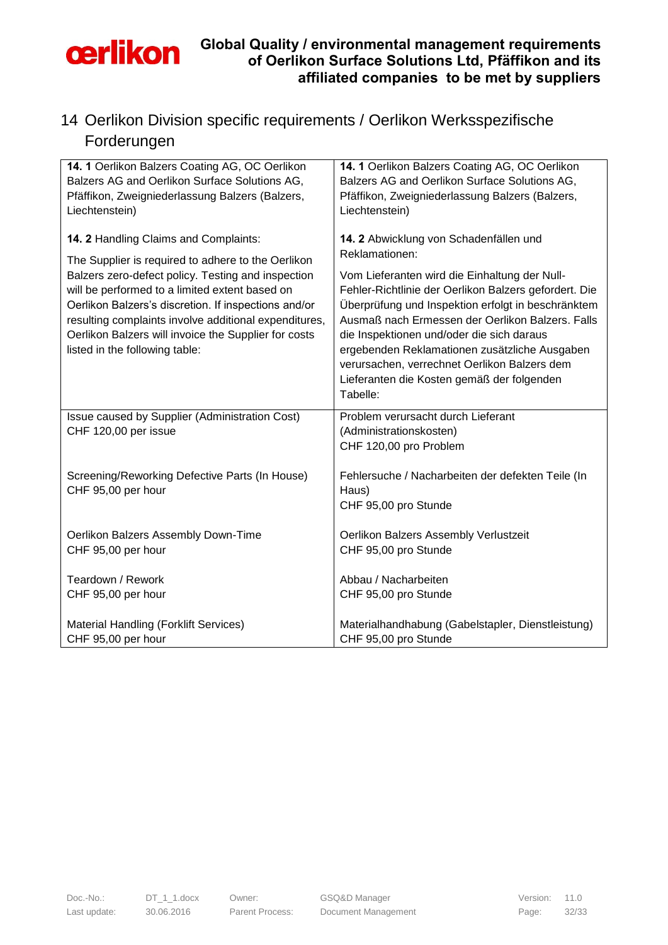

## <span id="page-31-0"></span>14 Oerlikon Division specific requirements / Oerlikon Werksspezifische Forderungen

| 14. 1 Oerlikon Balzers Coating AG, OC Oerlikon        | 14. 1 Oerlikon Balzers Coating AG, OC Oerlikon        |
|-------------------------------------------------------|-------------------------------------------------------|
| Balzers AG and Oerlikon Surface Solutions AG,         | Balzers AG and Oerlikon Surface Solutions AG,         |
| Pfäffikon, Zweigniederlassung Balzers (Balzers,       | Pfäffikon, Zweigniederlassung Balzers (Balzers,       |
| Liechtenstein)                                        | Liechtenstein)                                        |
|                                                       |                                                       |
| 14. 2 Handling Claims and Complaints:                 | 14. 2 Abwicklung von Schadenfällen und                |
| The Supplier is required to adhere to the Oerlikon    | Reklamationen:                                        |
| Balzers zero-defect policy. Testing and inspection    | Vom Lieferanten wird die Einhaltung der Null-         |
| will be performed to a limited extent based on        | Fehler-Richtlinie der Oerlikon Balzers gefordert. Die |
| Oerlikon Balzers's discretion. If inspections and/or  | Überprüfung und Inspektion erfolgt in beschränktem    |
| resulting complaints involve additional expenditures, | Ausmaß nach Ermessen der Oerlikon Balzers. Falls      |
| Oerlikon Balzers will invoice the Supplier for costs  | die Inspektionen und/oder die sich daraus             |
| listed in the following table:                        | ergebenden Reklamationen zusätzliche Ausgaben         |
|                                                       | verursachen, verrechnet Oerlikon Balzers dem          |
|                                                       | Lieferanten die Kosten gemäß der folgenden            |
|                                                       | Tabelle:                                              |
| Issue caused by Supplier (Administration Cost)        | Problem verursacht durch Lieferant                    |
| CHF 120,00 per issue                                  | (Administrationskosten)                               |
|                                                       | CHF 120,00 pro Problem                                |
|                                                       |                                                       |
| Screening/Reworking Defective Parts (In House)        | Fehlersuche / Nacharbeiten der defekten Teile (In     |
| CHF 95,00 per hour                                    | Haus)                                                 |
|                                                       | CHF 95,00 pro Stunde                                  |
| Oerlikon Balzers Assembly Down-Time                   | Oerlikon Balzers Assembly Verlustzeit                 |
| CHF 95,00 per hour                                    | CHF 95,00 pro Stunde                                  |
|                                                       |                                                       |
| Teardown / Rework                                     | Abbau / Nacharbeiten                                  |
| CHF 95,00 per hour                                    | CHF 95,00 pro Stunde                                  |
|                                                       |                                                       |
| Material Handling (Forklift Services)                 | Materialhandhabung (Gabelstapler, Dienstleistung)     |
| CHF 95,00 per hour                                    | CHF 95,00 pro Stunde                                  |